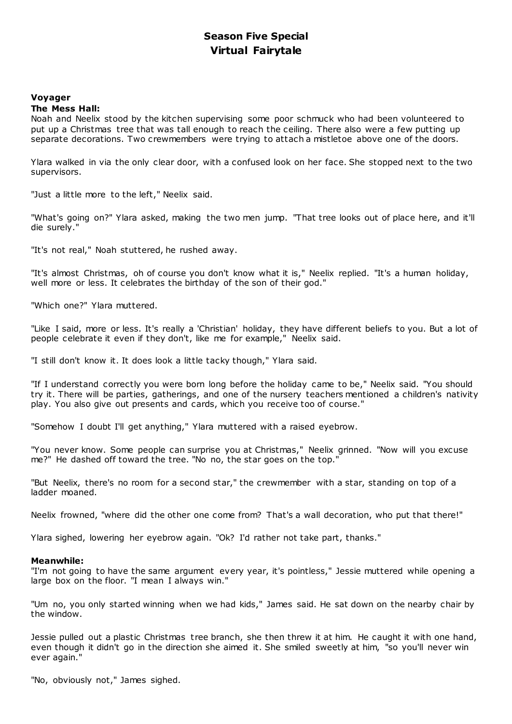# **Season Five Special Virtual Fairytale**

# **Voyager**

# **The Mess Hall:**

Noah and Neelix stood by the kitchen supervising some poor schmuck who had been volunteered to put up a Christmas tree that was tall enough to reach the ceiling. There also were a few putting up separate decorations. Two crewmembers were trying to attach a mistletoe above one of the doors.

Ylara walked in via the only clear door, with a confused look on her face. She stopped next to the two supervisors.

"Just a little more to the left," Neelix said.

"What's going on?" Ylara asked, making the two men jump. "That tree looks out of place here, and it'll die surely."

"It's not real," Noah stuttered, he rushed away.

"It's almost Christmas, oh of course you don't know what it is," Neelix replied. "It's a human holiday, well more or less. It celebrates the birthday of the son of their god."

"Which one?" Ylara muttered.

"Like I said, more or less. It's really a 'Christian' holiday, they have different beliefs to you. But a lot of people celebrate it even if they don't, like me for example," Neelix said.

"I still don't know it. It does look a little tacky though," Ylara said.

"If I understand correctly you were born long before the holiday came to be," Neelix said. "You should try it. There will be parties, gatherings, and one of the nursery teachers mentioned a children's nativity play. You also give out presents and cards, which you receive too of course."

"Somehow I doubt I'll get anything," Ylara muttered with a raised eyebrow.

"You never know. Some people can surprise you at Christmas," Neelix grinned. "Now will you excuse me?" He dashed off toward the tree. "No no, the star goes on the top."

"But Neelix, there's no room for a second star," the crewmember with a star, standing on top of a ladder moaned.

Neelix frowned, "where did the other one come from? That's a wall decoration, who put that there!"

Ylara sighed, lowering her eyebrow again. "Ok? I'd rather not take part, thanks."

### **Meanwhile:**

"I'm not going to have the same argument every year, it's pointless," Jessie muttered while opening a large box on the floor. "I mean I always win."

"Um no, you only started winning when we had kids," James said. He sat down on the nearby chair by the window.

Jessie pulled out a plastic Christmas t ree branch, she then threw it at him. He caught it with one hand, even though it didn't go in the direction she aimed it. She smiled sweetly at him, "so you'll never win ever again."

"No, obviously not," James sighed.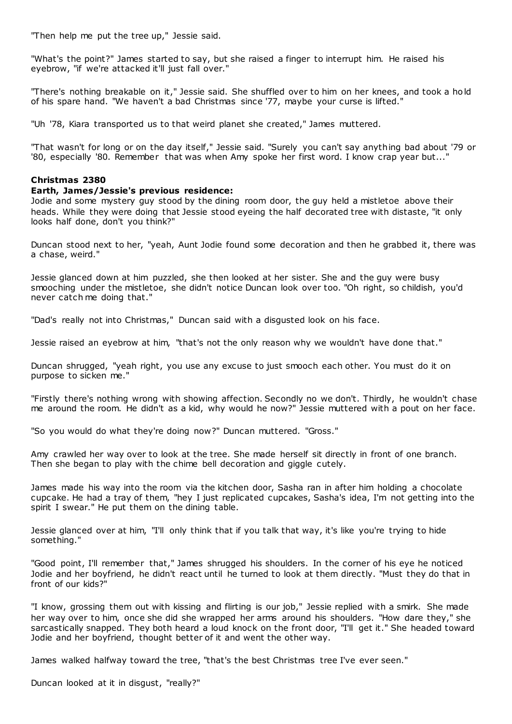"Then help me put the tree up," Jessie said.

"What's the point?" James started to say, but she raised a finger to interrupt him. He raised his eyebrow, "if we're attacked it'll just fall over."

"There's nothing breakable on it," Jessie said. She shuffled over to him on her knees, and took a hold of his spare hand. "We haven't a bad Christmas since '77, maybe your curse is lifted."

"Uh '78, Kiara transported us to that weird planet she created," James muttered.

"That wasn't for long or on the day itself," Jessie said. "Surely you can't say anything bad about '79 or '80, especially '80. Remember that was when Amy spoke her first word. I know crap year but..."

# **Christmas 2380**

### **Earth, James/Jessie's previous residence:**

Jodie and some mystery guy stood by the dining room door, the guy held a mistletoe above their heads. While they were doing that Jessie stood eyeing the half decorated tree with distaste, "it only looks half done, don't you think?"

Duncan stood next to her, "yeah, Aunt Jodie found some decoration and then he grabbed it, there was a chase, weird."

Jessie glanced down at him puzzled, she then looked at her sister. She and the guy were busy smooching under the mistletoe, she didn't notice Duncan look over too. "Oh right, so childish, you'd never catch me doing that."

"Dad's really not into Christmas," Duncan said with a disgusted look on his face.

Jessie raised an eyebrow at him, "that's not the only reason why we wouldn't have done that."

Duncan shrugged, "yeah right, you use any excuse to just smooch each other. You must do it on purpose to sicken me."

"Firstly there's nothing wrong with showing affection. Secondly no we don't. Thirdly, he wouldn't chase me around the room. He didn't as a kid, why would he now?" Jessie muttered with a pout on her face.

"So you would do what they're doing now?" Duncan muttered. "Gross."

Amy crawled her way over to look at the tree. She made herself sit directly in front of one branch. Then she began to play with the chime bell decoration and giggle cutely.

James made his way into the room via the kitchen door, Sasha ran in after him holding a chocolate cupcake. He had a tray of them, "hey I just replicated cupcakes, Sasha's idea, I'm not getting into the spirit I swear." He put them on the dining table.

Jessie glanced over at him, "I'll only think that if you talk that way, it's like you're trying to hide something."

"Good point, I'll remember that," James shrugged his shoulders. In the corner of his eye he noticed Jodie and her boyfriend, he didn't react until he turned to look at them directly. "Must they do that in front of our kids?"

"I know, grossing them out with kissing and flirting is our job," Jessie replied with a smirk. She made her way over to him, once she did she wrapped her arms around his shoulders. "How dare they," she sarcastically snapped. They both heard a loud knock on the front door, "I'll get it." She headed toward Jodie and her boyfriend, thought better of it and went the other way.

James walked halfway toward the tree, "that's the best Christmas tree I've ever seen."

Duncan looked at it in disgust, "really?"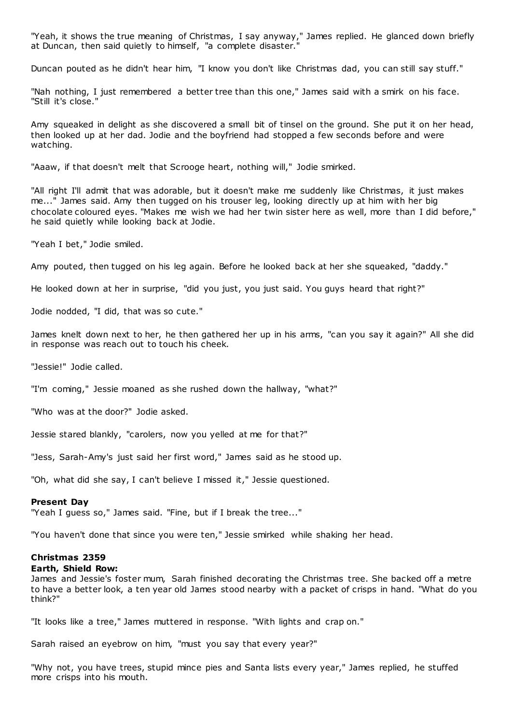"Yeah, it shows the true meaning of Christmas, I say anyway," James replied. He glanced down briefly at Duncan, then said quietly to himself, "a complete disaster."

Duncan pouted as he didn't hear him, "I know you don't like Christmas dad, you can still say stuff."

"Nah nothing, I just remembered a better tree than this one," James said with a smirk on his face. "Still it's close."

Amy squeaked in delight as she discovered a small bit of tinsel on the ground. She put it on her head, then looked up at her dad. Jodie and the boyfriend had stopped a few seconds before and were watching.

"Aaaw, if that doesn't melt that Scrooge heart, nothing will," Jodie smirked.

"All right I'll admit that was adorable, but it doesn't make me suddenly like Christmas, it just makes me..." James said. Amy then tugged on his trouser leg, looking directly up at him with her big chocolate coloured eyes. "Makes me wish we had her twin sister here as well, more than I did before," he said quietly while looking back at Jodie.

"Yeah I bet," Jodie smiled.

Amy pouted, then tugged on his leg again. Before he looked back at her she squeaked, "daddy."

He looked down at her in surprise, "did you just, you just said. You guys heard that right?"

Jodie nodded, "I did, that was so cute."

James knelt down next to her, he then gathered her up in his arms, "can you say it again?" All she did in response was reach out to touch his cheek.

"Jessie!" Jodie called.

"I'm coming," Jessie moaned as she rushed down the hallway, "what?"

"Who was at the door?" Jodie asked.

Jessie stared blankly, "carolers, now you yelled at me for that?"

"Jess, Sarah-Amy's just said her first word," James said as he stood up.

"Oh, what did she say, I can't believe I missed it," Jessie questioned.

#### **Present Day**

"Yeah I guess so," James said. "Fine, but if I break the tree..."

"You haven't done that since you were ten," Jessie smirked while shaking her head.

#### **Christmas 2359**

#### **Earth, Shield Row:**

James and Jessie's foster mum, Sarah finished decorating the Christmas tree. She backed off a metre to have a better look, a ten year old James stood nearby with a packet of crisps in hand. "What do you think?"

"It looks like a tree," James muttered in response. "With lights and crap on."

Sarah raised an eyebrow on him, "must you say that every year?"

"Why not, you have trees, stupid mince pies and Santa lists every year," James replied, he stuffed more crisps into his mouth.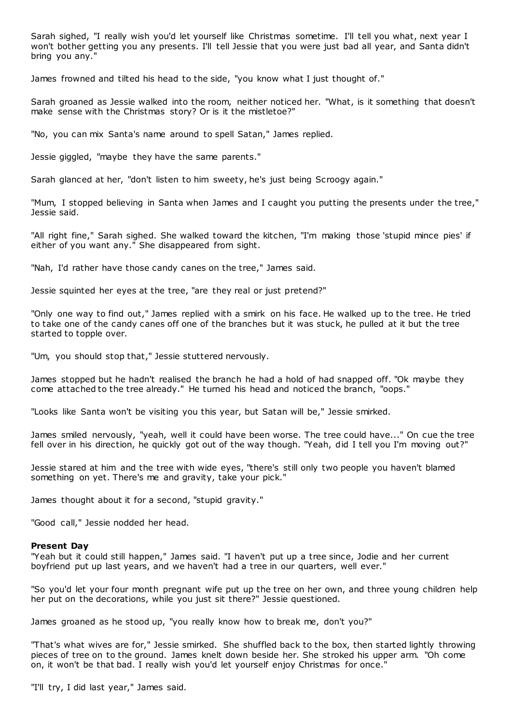Sarah sighed, "I really wish you'd let yourself like Christmas sometime. I'll tell you what, next year I won't bother getting you any presents. I'll tell Jessie that you were just bad all year, and Santa didn't bring you any."

James frowned and tilted his head to the side, "you know what I just thought of."

Sarah groaned as Jessie walked into the room, neither noticed her. "What, is it something that doesn't make sense with the Christmas story? Or is it the mistletoe?"

"No, you can mix Santa's name around to spell Satan," James replied.

Jessie giggled, "maybe they have the same parents."

Sarah glanced at her, "don't listen to him sweety, he's just being Scroogy again."

"Mum, I stopped believing in Santa when James and I caught you putting the presents under the tree," Jessie said.

"All right fine," Sarah sighed. She walked toward the kitchen, "I'm making those 'stupid mince pies' if either of you want any." She disappeared from sight.

"Nah, I'd rather have those candy canes on the tree," James said.

Jessie squinted her eyes at the tree, "are they real or just pretend?"

"Only one way to find out," James replied with a smirk on his face. He walked up to the tree. He tried to take one of the candy canes off one of the branches but it was stuck, he pulled at it but the tree started to topple over.

"Um, you should stop that," Jessie stuttered nervously.

James stopped but he hadn't realised the branch he had a hold of had snapped off. "Ok maybe they come attached to the tree already." He turned his head and noticed the branch, "oops."

"Looks like Santa won't be visiting you this year, but Satan will be," Jessie smirked.

James smiled nervously, "yeah, well it could have been worse. The tree could have..." On cue the tree fell over in his direction, he quickly got out of the way though. "Yeah, did I tell you I'm moving out?"

Jessie stared at him and the tree with wide eyes, "there's still only two people you haven't blamed something on yet. There's me and gravity, take your pick."

James thought about it for a second, "stupid gravity."

"Good call," Jessie nodded her head.

### **Present Day**

"Yeah but it could still happen," James said. "I haven't put up a tree since, Jodie and her current boyfriend put up last years, and we haven't had a tree in our quarters, well ever."

"So you'd let your four month pregnant wife put up the tree on her own, and three young children help her put on the decorations, while you just sit there?" Jessie questioned.

James groaned as he stood up, "you really know how to break me, don't you?"

"That's what wives are for," Jessie smirked. She shuffled back to the box, then started lightly throwing pieces of tree on to the ground. James knelt down beside her. She stroked his upper arm. "Oh come on, it won't be that bad. I really wish you'd let yourself enjoy Christmas for once."

"I'll try, I did last year," James said.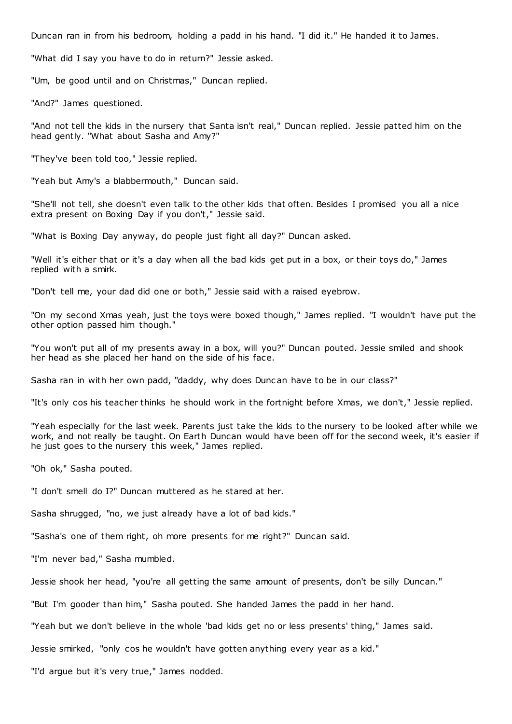Duncan ran in from his bedroom, holding a padd in his hand. "I did it." He handed it to James.

"What did I say you have to do in return?" Jessie asked.

"Um, be good until and on Christmas," Duncan replied.

"And?" James questioned.

"And not tell the kids in the nursery that Santa isn't real," Duncan replied. Jessie patted him on the head gently. "What about Sasha and Amy?"

"They've been told too," Jessie replied.

"Yeah but Amy's a blabbermouth," Duncan said.

"She'll not tell, she doesn't even talk to the other kids that often. Besides I promised you all a nice extra present on Boxing Day if you don't," Jessie said.

"What is Boxing Day anyway, do people just fight all day?" Duncan asked.

"Well it's either that or it's a day when all the bad kids get put in a box, or their toys do," James replied with a smirk.

"Don't tell me, your dad did one or both," Jessie said with a raised eyebrow.

"On my second Xmas yeah, just the toys were boxed though," James replied. "I wouldn't have put the other option passed him though."

"You won't put all of my presents away in a box, will you?" Duncan pouted. Jessie smiled and shook her head as she placed her hand on the side of his face.

Sasha ran in with her own padd, "daddy, why does Dunc an have to be in our class?"

"It's only cos his teacher thinks he should work in the fortnight before Xmas, we don't," Jessie replied.

"Yeah especially for the last week. Parents just take the kids to the nursery to be looked after while we work, and not really be taught. On Earth Duncan would have been off for the second week, it's easier if he just goes to the nursery this week," James replied.

"Oh ok," Sasha pouted.

"I don't smell do I?" Duncan muttered as he stared at her.

Sasha shrugged, "no, we just already have a lot of bad kids."

"Sasha's one of them right, oh more presents for me right?" Duncan said.

"I'm never bad," Sasha mumbled.

Jessie shook her head, "you're all getting the same amount of presents, don't be silly Duncan."

"But I'm gooder than him," Sasha pouted. She handed James the padd in her hand.

"Yeah but we don't believe in the whole 'bad kids get no or less presents' thing," James said.

Jessie smirked, "only cos he wouldn't have gotten anything every year as a kid."

"I'd argue but it's very true," James nodded.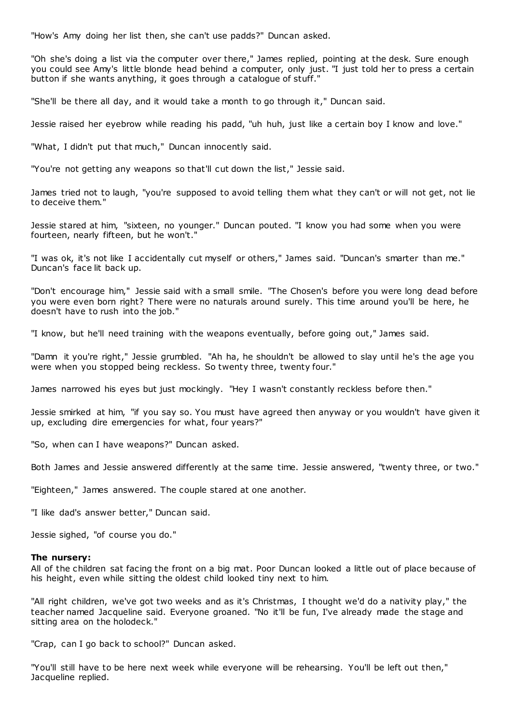"How's Amy doing her list then, she can't use padds?" Duncan asked.

"Oh she's doing a list via the computer over there," James replied, pointing at the desk. Sure enough you could see Amy's little blonde head behind a computer, only just. "I just told her to press a certain button if she wants anything, it goes through a catalogue of stuff."

"She'll be there all day, and it would take a month to go through it," Duncan said.

Jessie raised her eyebrow while reading his padd, "uh huh, just like a certain boy I know and love."

"What, I didn't put that much," Duncan innocently said.

"You're not getting any weapons so that'll cut down the list," Jessie said.

James tried not to laugh, "you're supposed to avoid telling them what they can't or will not get, not lie to deceive them."

Jessie stared at him, "sixteen, no younger." Duncan pouted. "I know you had some when you were fourteen, nearly fifteen, but he won't."

"I was ok, it's not like I accidentally cut myself or others," James said. "Duncan's smarter than me." Duncan's face lit back up.

"Don't encourage him," Jessie said with a small smile. "The Chosen's before you were long dead before you were even born right? There were no naturals around surely. This time around you'll be here, he doesn't have to rush into the job."

"I know, but he'll need training with the weapons eventually, before going out," James said.

"Damn it you're right," Jessie grumbled. "Ah ha, he shouldn't be allowed to slay until he's the age you were when you stopped being reckless. So twenty three, twenty four."

James narrowed his eyes but just mockingly. "Hey I wasn't constantly reckless before then."

Jessie smirked at him, "if you say so. You must have agreed then anyway or you wouldn't have given it up, excluding dire emergencies for what, four years?"

"So, when can I have weapons?" Duncan asked.

Both James and Jessie answered differently at the same time. Jessie answered, "twenty three, or two."

"Eighteen," James answered. The couple stared at one another.

"I like dad's answer better," Duncan said.

Jessie sighed, "of course you do."

#### **The nursery:**

All of the children sat facing the front on a big mat. Poor Duncan looked a little out of place because of his height, even while sitting the oldest child looked tiny next to him.

"All right children, we've got two weeks and as it's Christmas, I thought we'd do a nativity play," the teacher named Jacqueline said. Everyone groaned. "No it'll be fun, I've already made the stage and sitting area on the holodeck."

"Crap, can I go back to school?" Duncan asked.

"You'll still have to be here next week while everyone will be rehearsing. You'll be left out then," Jacqueline replied.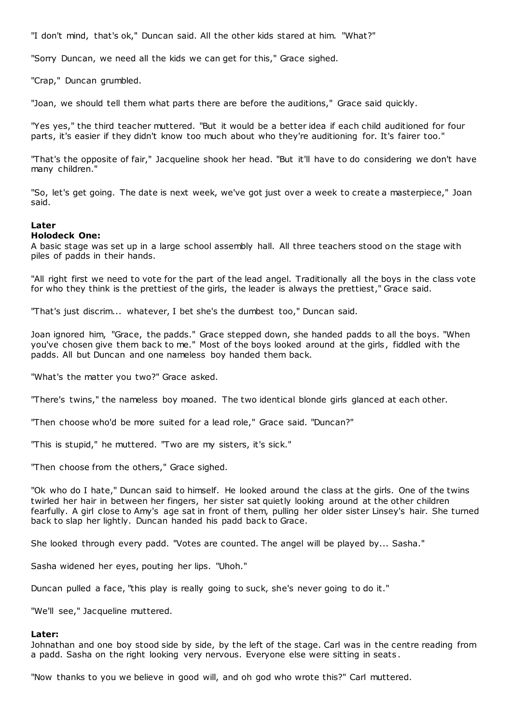"I don't mind, that's ok," Duncan said. All the other kids stared at him. "What?"

"Sorry Duncan, we need all the kids we can get for this," Grace sighed.

"Crap," Duncan grumbled.

"Joan, we should tell them what parts there are before the auditions," Grace said quickly.

"Yes yes," the third teacher muttered. "But it would be a better idea if each child auditioned for four parts, it's easier if they didn't know too much about who they're auditioning for. It's fairer too."

"That's the opposite of fair," Jacqueline shook her head. "But it'll have to do considering we don't have many children."

"So, let's get going. The date is next week, we've got just over a week to create a masterpiece," Joan said.

# **Later**

### **Holodeck One:**

A basic stage was set up in a large school assembly hall. All three teachers stood on the stage with piles of padds in their hands.

"All right first we need to vote for the part of the lead angel. Traditionally all the boys in the class vote for who they think is the prettiest of the girls, the leader is always the prettiest," Grace said.

"That's just discrim... whatever, I bet she's the dumbest too," Duncan said.

Joan ignored him, "Grace, the padds." Grace stepped down, she handed padds to all the boys. "When you've chosen give them back to me." Most of the boys looked around at the girls, fiddled with the padds. All but Duncan and one nameless boy handed them back.

"What's the matter you two?" Grace asked.

"There's twins," the nameless boy moaned. The two identical blonde girls glanced at each other.

"Then choose who'd be more suited for a lead role," Grace said. "Duncan?"

"This is stupid," he muttered. "Two are my sisters, it's sick."

"Then choose from the others," Grace sighed.

"Ok who do I hate," Duncan said to himself. He looked around the class at the girls. One of the twins twirled her hair in between her fingers, her sister sat quietly looking around at the other children fearfully. A girl close to Amy's age sat in front of them, pulling her older sister Linsey's hair. She turned back to slap her lightly. Duncan handed his padd back to Grace.

She looked through every padd. "Votes are counted. The angel will be played by... Sasha."

Sasha widened her eyes, pouting her lips. "Uhoh."

Duncan pulled a face, "this play is really going to suck, she's never going to do it."

"We'll see," Jacqueline muttered.

### **Later:**

Johnathan and one boy stood side by side, by the left of the stage. Carl was in the centre reading from a padd. Sasha on the right looking very nervous. Everyone else were sitting in seats .

"Now thanks to you we believe in good will, and oh god who wrote this?" Carl muttered.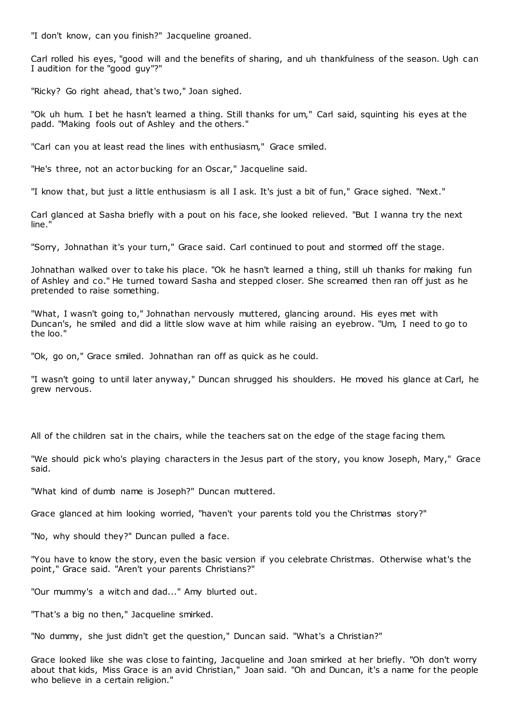"I don't know, can you finish?" Jacqueline groaned.

Carl rolled his eyes, "good will and the benefits of sharing, and uh thankfulness of the season. Ugh can I audition for the "good guy"?"

"Ricky? Go right ahead, that's two," Joan sighed.

"Ok uh hum. I bet he hasn't learned a thing. Still thanks for um," Carl said, squinting his eyes at the padd. "Making fools out of Ashley and the others."

"Carl can you at least read the lines with enthusiasm," Grace smiled.

"He's three, not an actor bucking for an Oscar," Jacqueline said.

"I know that, but just a little enthusiasm is all I ask. It's just a bit of fun," Grace sighed. "Next."

Carl glanced at Sasha briefly with a pout on his face, she looked relieved. "But I wanna try the next line."

"Sorry, Johnathan it's your turn," Grace said. Carl continued to pout and stormed off the stage.

Johnathan walked over to take his place. "Ok he hasn't learned a thing, still uh thanks for making fun of Ashley and co." He turned toward Sasha and stepped closer. She screamed then ran off just as he pretended to raise something.

"What, I wasn't going to," Johnathan nervously muttered, glancing around. His eyes met with Duncan's, he smiled and did a little slow wave at him while raising an eyebrow. "Um, I need to go to the loo."

"Ok, go on," Grace smiled. Johnathan ran off as quick as he could.

"I wasn't going to until later anyway," Duncan shrugged his shoulders. He moved his glance at Carl, he grew nervous.

All of the children sat in the chairs, while the teachers sat on the edge of the stage facing them.

"We should pick who's playing characters in the Jesus part of the story, you know Joseph, Mary," Grace said.

"What kind of dumb name is Joseph?" Duncan muttered.

Grace glanced at him looking worried, "haven't your parents told you the Christmas story?"

"No, why should they?" Duncan pulled a face.

"You have to know the story, even the basic version if you celebrate Christmas. Otherwise what's the point," Grace said. "Aren't your parents Christians?"

"Our mummy's a witch and dad..." Amy blurted out.

"That's a big no then," Jacqueline smirked.

"No dummy, she just didn't get the question," Duncan said. "What's a Christian?"

Grace looked like she was close to fainting, Jacqueline and Joan smirked at her briefly. "Oh don't worry about that kids, Miss Grace is an avid Christian," Joan said. "Oh and Duncan, it's a name for the people who believe in a certain religion."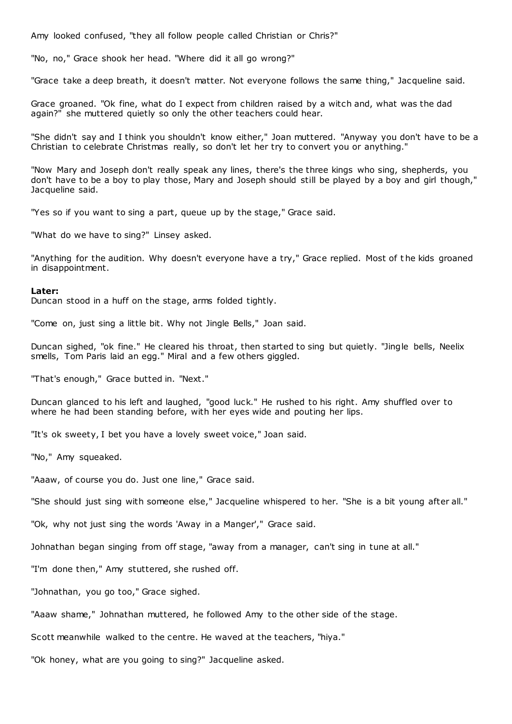Amy looked confused, "they all follow people called Christian or Chris?"

"No, no," Grace shook her head. "Where did it all go wrong?"

"Grace take a deep breath, it doesn't matter. Not everyone follows the same thing," Jacqueline said.

Grace groaned. "Ok fine, what do I expect from children raised by a witch and, what was the dad again?" she muttered quietly so only the other teachers could hear.

"She didn't say and I think you shouldn't know either," Joan muttered. "Anyway you don't have to be a Christian to celebrate Christmas really, so don't let her try to convert you or anything."

"Now Mary and Joseph don't really speak any lines, there's the three kings who sing, shepherds, you don't have to be a boy to play those, Mary and Joseph should still be played by a boy and girl though," Jacqueline said.

"Yes so if you want to sing a part, queue up by the stage," Grace said.

"What do we have to sing?" Linsey asked.

"Anything for the audition. Why doesn't everyone have a try," Grace replied. Most of t he kids groaned in disappointment.

#### **Later:**

Duncan stood in a huff on the stage, arms folded tightly.

"Come on, just sing a little bit. Why not Jingle Bells," Joan said.

Duncan sighed, "ok fine." He cleared his throat, then started to sing but quietly. "Jingle bells, Neelix smells, Tom Paris laid an egg." Miral and a few others giggled.

"That's enough," Grace butted in. "Next."

Duncan glanced to his left and laughed, "good luck." He rushed to his right. Amy shuffled over to where he had been standing before, with her eyes wide and pouting her lips.

"It's ok sweety, I bet you have a lovely sweet voice," Joan said.

"No," Amy squeaked.

"Aaaw, of course you do. Just one line," Grace said.

"She should just sing with someone else," Jacqueline whispered to her. "She is a bit young after all."

"Ok, why not just sing the words 'Away in a Manger'," Grace said.

Johnathan began singing from off stage, "away from a manager, can't sing in tune at all."

"I'm done then," Amy stuttered, she rushed off.

"Johnathan, you go too," Grace sighed.

"Aaaw shame," Johnathan muttered, he followed Amy to the other side of the stage.

Scott meanwhile walked to the centre. He waved at the teachers, "hiya."

"Ok honey, what are you going to sing?" Jacqueline asked.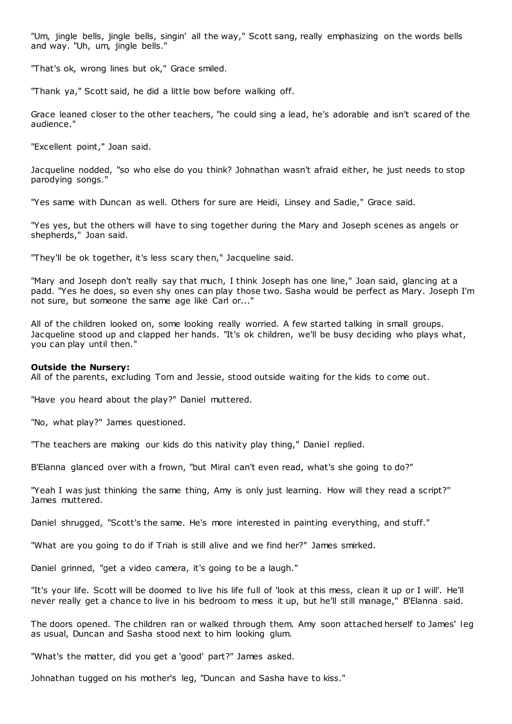"Um, jingle bells, jingle bells, singin' all the way," Scott sang, really emphasizing on the words bells and way. "Uh, um, jingle bells."

"That's ok, wrong lines but ok," Grace smiled.

"Thank ya," Scott said, he did a little bow before walking off.

Grace leaned closer to the other teachers, "he could sing a lead, he's adorable and isn't scared of the audience."

"Excellent point," Joan said.

Jacqueline nodded, "so who else do you think? Johnathan wasn't afraid either, he just needs to stop parodying songs."

"Yes same with Duncan as well. Others for sure are Heidi, Linsey and Sadie," Grace said.

"Yes yes, but the others will have to sing together during the Mary and Joseph scenes as angels or shepherds," Joan said.

"They'll be ok together, it's less scary then," Jacqueline said.

"Mary and Joseph don't really say that much, I think Joseph has one line," Joan said, glancing at a padd. "Yes he does, so even shy ones can play those two. Sasha would be perfect as Mary. Joseph I'm not sure, but someone the same age like Carl or..."

All of the children looked on, some looking really worried. A few started talking in small groups. Jacqueline stood up and clapped her hands. "It's ok children, we'll be busy deciding who plays what, you can play until then."

### **Outside the Nursery:**

All of the parents, excluding Tom and Jessie, stood outside waiting for the kids to come out.

"Have you heard about the play?" Daniel muttered.

"No, what play?" James questioned.

"The teachers are making our kids do this nativity play thing," Daniel replied.

B'Elanna glanced over with a frown, "but Miral can't even read, what's she going to do?"

"Yeah I was just thinking the same thing, Amy is only just learning. How will they read a script?" James muttered.

Daniel shrugged, "Scott's the same. He's more interested in painting everything, and stuff."

"What are you going to do if Triah is still alive and we find her?" James smirked.

Daniel grinned, "get a video camera, it's going to be a laugh."

"It's your life. Scott will be doomed to live his life full of 'look at this mess, clean it up or I will'. He'll never really get a chance to live in his bedroom to mess it up, but he'll still manage," B'Elanna said.

The doors opened. The children ran or walked through them. Amy soon attached herself to James' leg as usual, Duncan and Sasha stood next to him looking glum.

"What's the matter, did you get a 'good' part?" James asked.

Johnathan tugged on his mother's leg, "Duncan and Sasha have to kiss."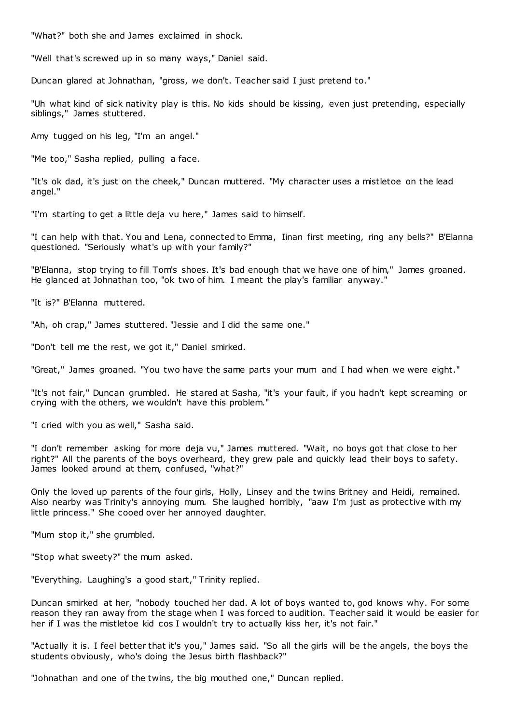"What?" both she and James exclaimed in shock.

"Well that's screwed up in so many ways," Daniel said.

Duncan glared at Johnathan, "gross, we don't. Teacher said I just pretend to."

"Uh what kind of sick nativity play is this. No kids should be kissing, even just pretending, especially siblings," James stuttered.

Amy tugged on his leg, "I'm an angel."

"Me too," Sasha replied, pulling a face.

"It's ok dad, it's just on the cheek," Duncan muttered. "My character uses a mistletoe on the lead angel."

"I'm starting to get a little deja vu here," James said to himself.

"I can help with that. You and Lena, connected to Emma, Iinan first meeting, ring any bells?" B'Elanna questioned. "Seriously what's up with your family?"

"B'Elanna, stop trying to fill Tom's shoes. It's bad enough that we have one of him," James groaned. He glanced at Johnathan too, "ok two of him. I meant the play's familiar anyway."

"It is?" B'Elanna muttered.

"Ah, oh crap," James stuttered. "Jessie and I did the same one."

"Don't tell me the rest, we got it," Daniel smirked.

"Great," James groaned. "You two have the same parts your mum and I had when we were eight."

"It's not fair," Duncan grumbled. He stared at Sasha, "it's your fault, if you hadn't kept screaming or crying with the others, we wouldn't have this problem."

"I cried with you as well," Sasha said.

"I don't remember asking for more deja vu," James muttered. "Wait, no boys got that close to her right?" All the parents of the boys overheard, they grew pale and quickly lead their boys to safety. James looked around at them, confused, "what?"

Only the loved up parents of the four girls, Holly, Linsey and the twins Britney and Heidi, remained. Also nearby was Trinity's annoying mum. She laughed horribly, "aaw I'm just as protective with my little princess." She cooed over her annoyed daughter.

"Mum stop it," she grumbled.

"Stop what sweety?" the mum asked.

"Everything. Laughing's a good start," Trinity replied.

Duncan smirked at her, "nobody touched her dad. A lot of boys wanted to, god knows why. For some reason they ran away from the stage when I was forced to audition. Teacher said it would be easier for her if I was the mistletoe kid cos I wouldn't try to actually kiss her, it's not fair."

"Actually it is. I feel better that it's you," James said. "So all the girls will be the angels, the boys the students obviously, who's doing the Jesus birth flashback?"

"Johnathan and one of the twins, the big mouthed one," Duncan replied.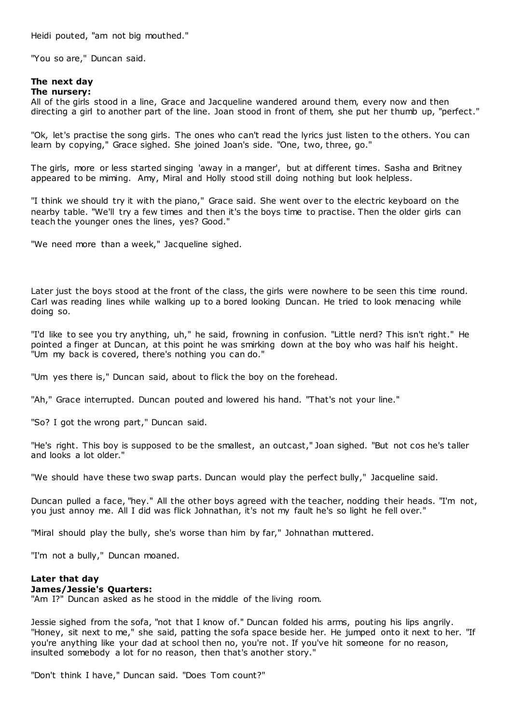Heidi pouted, "am not big mouthed."

"You so are," Duncan said.

#### **The next day The nursery:**

All of the girls stood in a line, Grace and Jacqueline wandered around them, every now and then directing a girl to another part of the line. Joan stood in front of them, she put her thumb up, "perfect."

"Ok, let's practise the song girls. The ones who can't read the lyrics just listen to the others. You can learn by copying," Grace sighed. She joined Joan's side. "One, two, three, go."

The girls, more or less started singing 'away in a manger', but at different times. Sasha and Britney appeared to be miming. Amy, Miral and Holly stood still doing nothing but look helpless.

"I think we should try it with the piano," Grace said. She went over to the electric keyboard on the nearby table. "We'll try a few times and then it's the boys time to practise. Then the older girls can teach the younger ones the lines, yes? Good."

"We need more than a week," Jacqueline sighed.

Later just the boys stood at the front of the class, the girls were nowhere to be seen this time round. Carl was reading lines while walking up to a bored looking Duncan. He tried to look menacing while doing so.

"I'd like to see you try anything, uh," he said, frowning in confusion. "Little nerd? This isn't right." He pointed a finger at Duncan, at this point he was smirking down at the boy who was half his height. "Um my back is covered, there's nothing you can do."

"Um yes there is," Duncan said, about to flick the boy on the forehead.

"Ah," Grace interrupted. Duncan pouted and lowered his hand. "That's not your line."

"So? I got the wrong part," Duncan said.

"He's right. This boy is supposed to be the smallest, an outcast," Joan sighed. "But not cos he's taller and looks a lot older."

"We should have these two swap parts. Duncan would play the perfect bully," Jacqueline said.

Duncan pulled a face, "hey." All the other boys agreed with the teacher, nodding their heads. "I'm not, you just annoy me. All I did was flick Johnathan, it's not my fault he's so light he fell over."

"Miral should play the bully, she's worse than him by far," Johnathan muttered.

"I'm not a bully," Duncan moaned.

### **Later that day**

### **James/Jessie's Quarters:**

"Am I?" Duncan asked as he stood in the middle of the living room.

Jessie sighed from the sofa, "not that I know of." Duncan folded his arms, pouting his lips angrily. "Honey, sit next to me," she said, patting the sofa space beside her. He jumped onto it next to her. "If you're anything like your dad at school then no, you're not. If you've hit someone for no reason, insulted somebody a lot for no reason, then that's another story."

"Don't think I have," Duncan said. "Does Tom count?"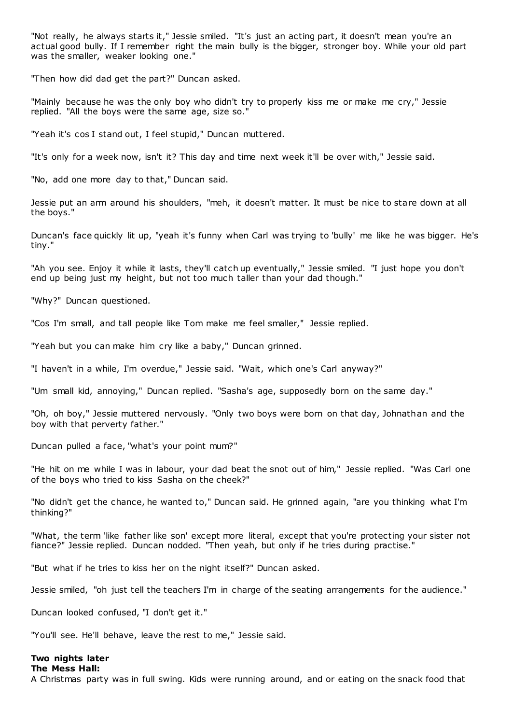"Not really, he always starts it," Jessie smiled. "It's just an acting part, it doesn't mean you're an actual good bully. If I remember right the main bully is the bigger, stronger boy. While your old part was the smaller, weaker looking one."

"Then how did dad get the part?" Duncan asked.

"Mainly because he was the only boy who didn't try to properly kiss me or make me cry," Jessie replied. "All the boys were the same age, size so."

"Yeah it's cos I stand out, I feel stupid," Duncan muttered.

"It's only for a week now, isn't it? This day and time next week it'll be over with," Jessie said.

"No, add one more day to that," Duncan said.

Jessie put an arm around his shoulders, "meh, it doesn't matter. It must be nice to stare down at all the boys."

Duncan's face quickly lit up, "yeah it's funny when Carl was trying to 'bully' me like he was bigger. He's tiny."

"Ah you see. Enjoy it while it lasts, they'll catch up eventually," Jessie smiled. "I just hope you don't end up being just my height, but not too much taller than your dad though."

"Why?" Duncan questioned.

"Cos I'm small, and tall people like Tom make me feel smaller," Jessie replied.

"Yeah but you can make him cry like a baby," Duncan grinned.

"I haven't in a while, I'm overdue," Jessie said. "Wait, which one's Carl anyway?"

"Um small kid, annoying," Duncan replied. "Sasha's age, supposedly born on the same day."

"Oh, oh boy," Jessie muttered nervously. "Only two boys were born on that day, Johnathan and the boy with that perverty father."

Duncan pulled a face, "what's your point mum?"

"He hit on me while I was in labour, your dad beat the snot out of him," Jessie replied. "Was Carl one of the boys who tried to kiss Sasha on the cheek?"

"No didn't get the chance, he wanted to," Duncan said. He grinned again, "are you thinking what I'm thinking?"

"What, the term 'like father like son' except more literal, except that you're protecting your sister not fiance?" Jessie replied. Duncan nodded. "Then yeah, but only if he tries during practise."

"But what if he tries to kiss her on the night itself?" Duncan asked.

Jessie smiled, "oh just tell the teachers I'm in charge of the seating arrangements for the audience."

Duncan looked confused, "I don't get it."

"You'll see. He'll behave, leave the rest to me," Jessie said.

### **Two nights later**

#### **The Mess Hall:**

A Christmas party was in full swing. Kids were running around, and or eating on the snack food that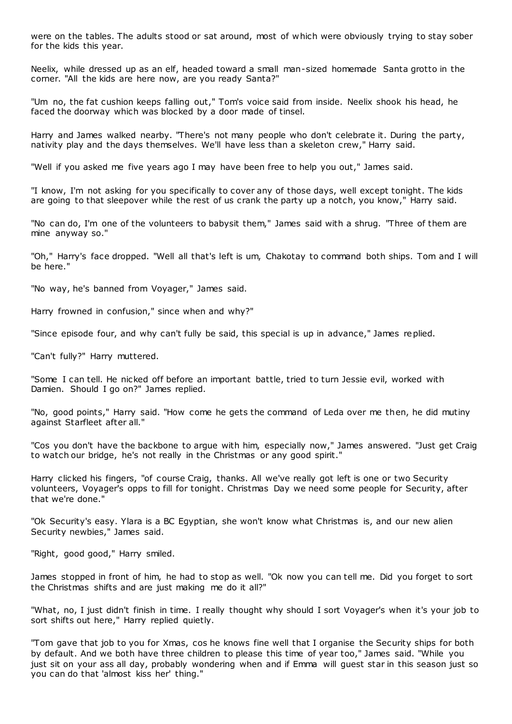were on the tables. The adults stood or sat around, most of which were obviously trying to stay sober for the kids this year.

Neelix, while dressed up as an elf, headed toward a small man-sized homemade Santa grotto in the corner. "All the kids are here now, are you ready Santa?"

"Um no, the fat cushion keeps falling out," Tom's voice said from inside. Neelix shook his head, he faced the doorway which was blocked by a door made of tinsel.

Harry and James walked nearby. "There's not many people who don't celebrate it. During the party, nativity play and the days themselves. We'll have less than a skeleton crew," Harry said.

"Well if you asked me five years ago I may have been free to help you out," James said.

"I know, I'm not asking for you specifically to cover any of those days, well except tonight. The kids are going to that sleepover while the rest of us crank the party up a notch, you know," Harry said.

"No can do, I'm one of the volunteers to babysit them," James said with a shrug. "Three of them are mine anyway so."

"Oh," Harry's face dropped. "Well all that's left is um, Chakotay to command both ships. Tom and I will be here."

"No way, he's banned from Voyager," James said.

Harry frowned in confusion," since when and why?"

"Since episode four, and why can't fully be said, this special is up in advance," James replied.

"Can't fully?" Harry muttered.

"Some I can tell. He nicked off before an important battle, tried to turn Jessie evil, worked with Damien. Should I go on?" James replied.

"No, good points," Harry said. "How come he gets the command of Leda over me then, he did mutiny against Starfleet after all."

"Cos you don't have the backbone to argue with him, especially now," James answered. "Just get Craig to watch our bridge, he's not really in the Christmas or any good spirit."

Harry clicked his fingers, "of course Craig, thanks. All we've really got left is one or two Security volunteers, Voyager's opps to fill for tonight. Christmas Day we need some people for Security, after that we're done."

"Ok Security's easy. Ylara is a BC Egyptian, she won't know what Christmas is, and our new alien Security newbies," James said.

"Right, good good," Harry smiled.

James stopped in front of him, he had to stop as well. "Ok now you can tell me. Did you forget to sort the Christmas shifts and are just making me do it all?"

"What, no, I just didn't finish in time. I really thought why should I sort Voyager's when it's your job to sort shifts out here," Harry replied quietly.

"Tom gave that job to you for Xmas, cos he knows fine well that I organise the Security ships for both by default. And we both have three children to please this time of year too," James said. "While you just sit on your ass all day, probably wondering when and if Emma will guest star in this season just so you can do that 'almost kiss her' thing."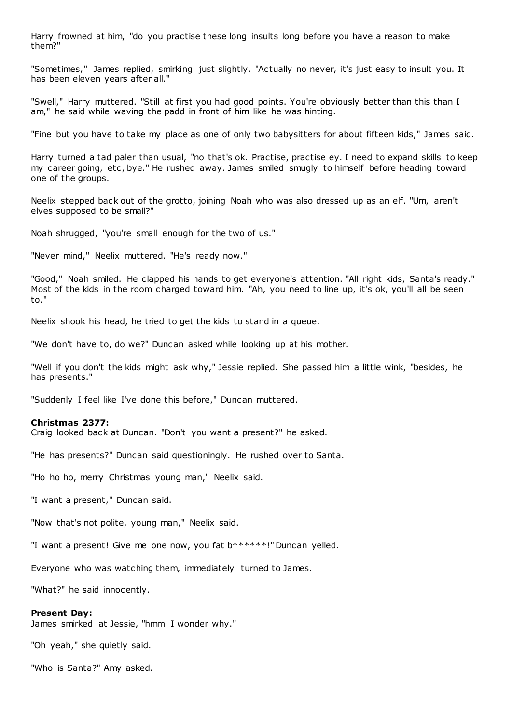Harry frowned at him, "do you practise these long insults long before you have a reason to make them?"

"Sometimes," James replied, smirking just slightly. "Actually no never, it's just easy to insult you. It has been eleven years after all."

"Swell," Harry muttered. "Still at first you had good points. You're obviously better than this than I am," he said while waving the padd in front of him like he was hinting.

"Fine but you have to take my place as one of only two babysitters for about fifteen kids," James said.

Harry turned a tad paler than usual, "no that's ok. Practise, practise ey. I need to expand skills to keep my career going, etc, bye." He rushed away. James smiled smugly to himself before heading toward one of the groups.

Neelix stepped back out of the grotto, joining Noah who was also dressed up as an elf. "Um, aren't elves supposed to be small?"

Noah shrugged, "you're small enough for the two of us."

"Never mind," Neelix muttered. "He's ready now."

"Good," Noah smiled. He clapped his hands to get everyone's attention. "All right kids, Santa's ready." Most of the kids in the room charged toward him. "Ah, you need to line up, it's ok, you'll all be seen to."

Neelix shook his head, he tried to get the kids to stand in a queue.

"We don't have to, do we?" Duncan asked while looking up at his mother.

"Well if you don't the kids might ask why," Jessie replied. She passed him a little wink, "besides, he has presents."

"Suddenly I feel like I've done this before," Duncan muttered.

#### **Christmas 2377:**

Craig looked back at Duncan. "Don't you want a present?" he asked.

"He has presents?" Duncan said questioningly. He rushed over to Santa.

"Ho ho ho, merry Christmas young man," Neelix said.

"I want a present," Duncan said.

"Now that's not polite, young man," Neelix said.

"I want a present! Give me one now, you fat  $b*****$ !" Duncan yelled.

Everyone who was watching them, immediately turned to James.

"What?" he said innocently.

#### **Present Day:**

James smirked at Jessie, "hmm I wonder why."

"Oh yeah," she quietly said.

"Who is Santa?" Amy asked.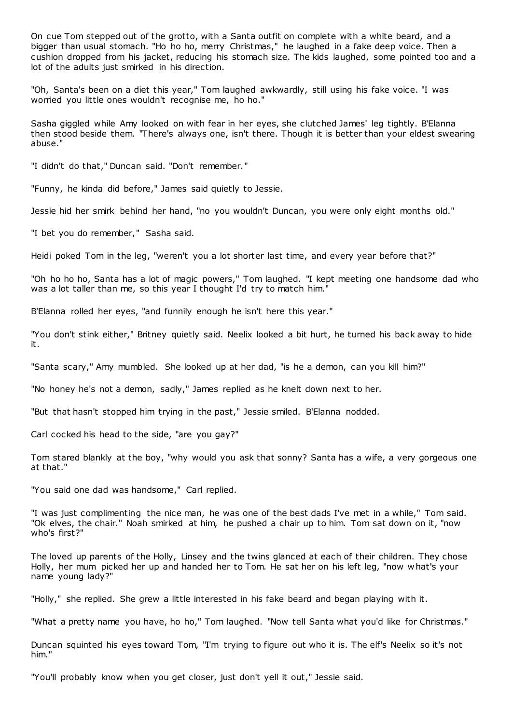On cue Tom stepped out of the grotto, with a Santa outfit on complete with a white beard, and a bigger than usual stomach. "Ho ho ho, merry Christmas," he laughed in a fake deep voice. Then a cushion dropped from his jacket, reducing his stomach size. The kids laughed, some pointed too and a lot of the adults just smirked in his direction.

"Oh, Santa's been on a diet this year," Tom laughed awkwardly, still using his fake voice. "I was worried you little ones wouldn't recognise me, ho ho."

Sasha giggled while Amy looked on with fear in her eyes, she clutched James' leg tightly. B'Elanna then stood beside them. "There's always one, isn't there. Though it is better than your eldest swearing abuse."

"I didn't do that," Duncan said. "Don't remember."

"Funny, he kinda did before," James said quietly to Jessie.

Jessie hid her smirk behind her hand, "no you wouldn't Duncan, you were only eight months old."

"I bet you do remember," Sasha said.

Heidi poked Tom in the leg, "weren't you a lot shorter last time, and every year before that?"

"Oh ho ho ho, Santa has a lot of magic powers," Tom laughed. "I kept meeting one handsome dad who was a lot taller than me, so this year I thought I'd try to match him."

B'Elanna rolled her eyes, "and funnily enough he isn't here this year."

"You don't stink either," Britney quietly said. Neelix looked a bit hurt, he turned his back away to hide it.

"Santa scary," Amy mumbled. She looked up at her dad, "is he a demon, can you kill him?"

"No honey he's not a demon, sadly," James replied as he knelt down next to her.

"But that hasn't stopped him trying in the past," Jessie smiled. B'Elanna nodded.

Carl cocked his head to the side, "are you gay?"

Tom stared blankly at the boy, "why would you ask that sonny? Santa has a wife, a very gorgeous one at that."

"You said one dad was handsome," Carl replied.

"I was just complimenting the nice man, he was one of the best dads I've met in a while," Tom said. "Ok elves, the chair." Noah smirked at him, he pushed a chair up to him. Tom sat down on it, "now who's first?"

The loved up parents of the Holly, Linsey and the twins glanced at each of their children. They chose Holly, her mum picked her up and handed her to Tom. He sat her on his left leg, "now w hat's your name young lady?"

"Holly," she replied. She grew a little interested in his fake beard and began playing with it.

"What a pretty name you have, ho ho," Tom laughed. "Now tell Santa what you'd like for Christmas."

Duncan squinted his eyes toward Tom, "I'm trying to figure out who it is. The elf's Neelix so it's not him."

"You'll probably know when you get closer, just don't yell it out," Jessie said.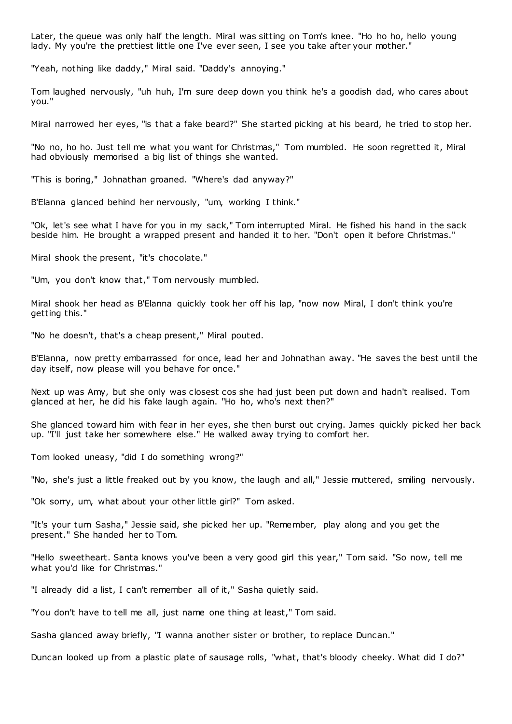Later, the queue was only half the length. Miral was sitting on Tom's knee. "Ho ho ho, hello young lady. My you're the prettiest little one I've ever seen, I see you take after your mother."

"Yeah, nothing like daddy," Miral said. "Daddy's annoying."

Tom laughed nervously, "uh huh, I'm sure deep down you think he's a goodish dad, who cares about you."

Miral narrowed her eyes, "is that a fake beard?" She started picking at his beard, he tried to stop her.

"No no, ho ho. Just tell me what you want for Christmas," Tom mumbled. He soon regretted it, Miral had obviously memorised a big list of things she wanted.

"This is boring," Johnathan groaned. "Where's dad anyway?"

B'Elanna glanced behind her nervously, "um, working I think."

"Ok, let's see what I have for you in my sack," Tom interrupted Miral. He fished his hand in the sack beside him. He brought a wrapped present and handed it to her. "Don't open it before Christmas."

Miral shook the present, "it's chocolate."

"Um, you don't know that," Tom nervously mumbled.

Miral shook her head as B'Elanna quickly took her off his lap, "now now Miral, I don't think you're getting this."

"No he doesn't, that's a cheap present," Miral pouted.

B'Elanna, now pretty embarrassed for once, lead her and Johnathan away. "He saves the best until the day itself, now please will you behave for once."

Next up was Amy, but she only was closest cos she had just been put down and hadn't realised. Tom glanced at her, he did his fake laugh again. "Ho ho, who's next then?"

She glanced toward him with fear in her eyes, she then burst out crying. James quickly picked her back up. "I'll just take her somewhere else." He walked away trying to comfort her.

Tom looked uneasy, "did I do something wrong?"

"No, she's just a little freaked out by you know, the laugh and all," Jessie muttered, smiling nervously.

"Ok sorry, um, what about your other little girl?" Tom asked.

"It's your turn Sasha," Jessie said, she picked her up. "Remember, play along and you get the present." She handed her to Tom.

"Hello sweetheart. Santa knows you've been a very good girl this year," Tom said. "So now, tell me what you'd like for Christmas."

"I already did a list, I can't remember all of it," Sasha quietly said.

"You don't have to tell me all, just name one thing at least," Tom said.

Sasha glanced away briefly, "I wanna another sister or brother, to replace Duncan."

Duncan looked up from a plastic plate of sausage rolls, "what, that's bloody cheeky. What did I do?"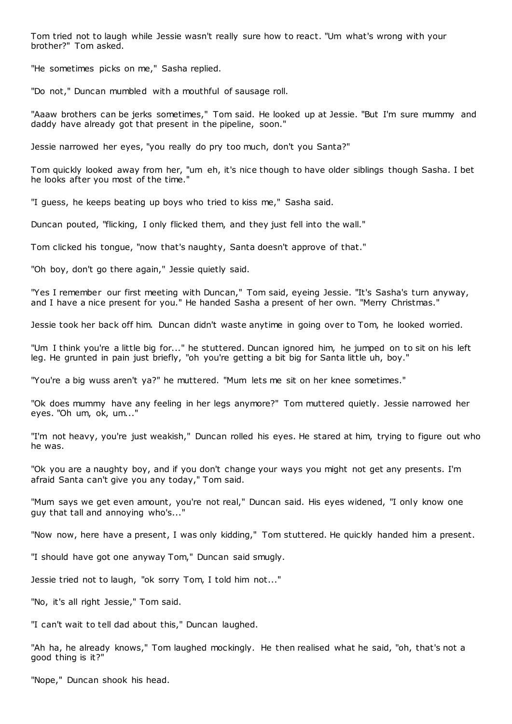Tom tried not to laugh while Jessie wasn't really sure how to react. "Um what's wrong with your brother?" Tom asked.

"He sometimes picks on me," Sasha replied.

"Do not," Duncan mumbled with a mouthful of sausage roll.

"Aaaw brothers can be jerks sometimes," Tom said. He looked up at Jessie. "But I'm sure mummy and daddy have already got that present in the pipeline, soon."

Jessie narrowed her eyes, "you really do pry too much, don't you Santa?"

Tom quickly looked away from her, "um eh, it's nice though to have older siblings though Sasha. I bet he looks after you most of the time."

"I guess, he keeps beating up boys who tried to kiss me," Sasha said.

Duncan pouted, "flicking, I only flicked them, and they just fell into the wall."

Tom clicked his tongue, "now that's naughty, Santa doesn't approve of that."

"Oh boy, don't go there again," Jessie quietly said.

"Yes I remember our first meeting with Duncan," Tom said, eyeing Jessie. "It's Sasha's turn anyway, and I have a nice present for you." He handed Sasha a present of her own. "Merry Christmas."

Jessie took her back off him. Duncan didn't waste anytime in going over to Tom, he looked worried.

"Um I think you're a little big for..." he stuttered. Duncan ignored him, he jumped on to sit on his left leg. He grunted in pain just briefly, "oh you're getting a bit big for Santa little uh, boy."

"You're a big wuss aren't ya?" he muttered. "Mum lets me sit on her knee sometimes."

"Ok does mummy have any feeling in her legs anymore?" Tom muttered quietly. Jessie narrowed her eyes. "Oh um, ok, um..."

"I'm not heavy, you're just weakish," Duncan rolled his eyes. He stared at him, trying to figure out who he was.

"Ok you are a naughty boy, and if you don't change your ways you might not get any presents. I'm afraid Santa can't give you any today," Tom said.

"Mum says we get even amount, you're not real," Duncan said. His eyes widened, "I only know one guy that tall and annoying who's..."

"Now now, here have a present, I was only kidding," Tom stuttered. He quickly handed him a present.

"I should have got one anyway Tom," Duncan said smugly.

Jessie tried not to laugh, "ok sorry Tom, I told him not..."

"No, it's all right Jessie," Tom said.

"I can't wait to tell dad about this," Duncan laughed.

"Ah ha, he already knows," Tom laughed mockingly. He then realised what he said, "oh, that's not a good thing is it?"

"Nope," Duncan shook his head.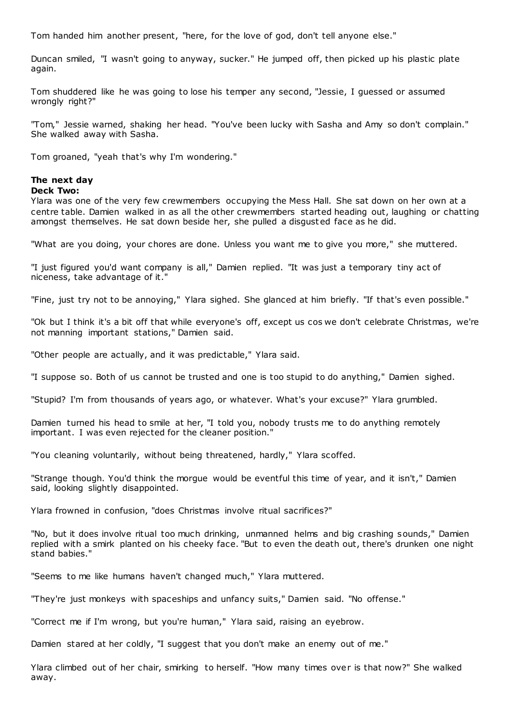Tom handed him another present, "here, for the love of god, don't tell anyone else."

Duncan smiled, "I wasn't going to anyway, sucker." He jumped off, then picked up his plastic plate again.

Tom shuddered like he was going to lose his temper any second, "Jessie, I guessed or assumed wrongly right?"

"Tom," Jessie warned, shaking her head. "You've been lucky with Sasha and Amy so don't complain." She walked away with Sasha.

Tom groaned, "yeah that's why I'm wondering."

# **The next day**

### **Deck Two:**

Ylara was one of the very few crewmembers occupying the Mess Hall. She sat down on her own at a centre table. Damien walked in as all the other crewmembers started heading out, laughing or chatting amongst themselves. He sat down beside her, she pulled a disgust ed face as he did.

"What are you doing, your chores are done. Unless you want me to give you more," she muttered.

"I just figured you'd want company is all," Damien replied. "It was just a temporary tiny act of niceness, take advantage of it."

"Fine, just try not to be annoying," Ylara sighed. She glanced at him briefly. "If that's even possible."

"Ok but I think it's a bit off that while everyone's off, except us cos we don't celebrate Christmas, we're not manning important stations," Damien said.

"Other people are actually, and it was predictable," Ylara said.

"I suppose so. Both of us cannot be trusted and one is too stupid to do anything," Damien sighed.

"Stupid? I'm from thousands of years ago, or whatever. What's your excuse?" Ylara grumbled.

Damien turned his head to smile at her, "I told you, nobody trusts me to do anything remotely important. I was even rejected for the cleaner position."

"You cleaning voluntarily, without being threatened, hardly," Ylara scoffed.

"Strange though. You'd think the morgue would be eventful this time of year, and it isn't," Damien said, looking slightly disappointed.

Ylara frowned in confusion, "does Christmas involve ritual sacrifices?"

"No, but it does involve ritual too much drinking, unmanned helms and big crashing sounds," Damien replied with a smirk planted on his cheeky face. "But to even the death out, there's drunken one night stand babies."

"Seems to me like humans haven't changed much," Ylara muttered.

"They're just monkeys with spaceships and unfancy suits," Damien said. "No offense."

"Correct me if I'm wrong, but you're human," Ylara said, raising an eyebrow.

Damien stared at her coldly, "I suggest that you don't make an enemy out of me."

Ylara climbed out of her chair, smirking to herself. "How many times over is that now?" She walked away.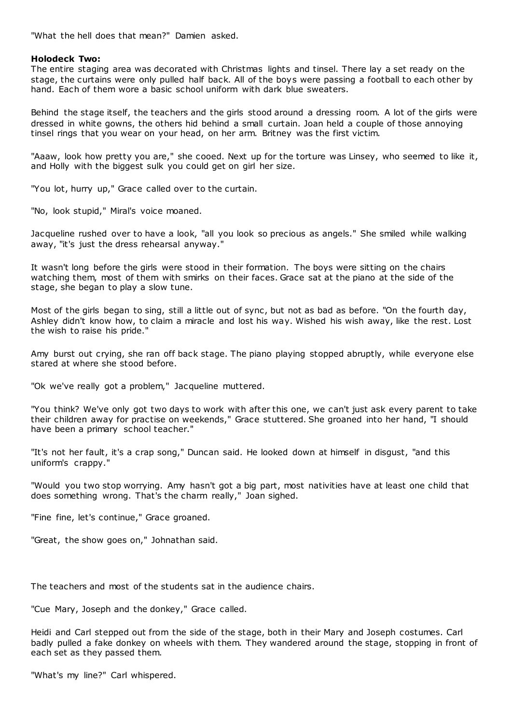"What the hell does that mean?" Damien asked.

### **Holodeck Two:**

The entire staging area was decorated with Christmas lights and tinsel. There lay a set ready on the stage, the curtains were only pulled half back. All of the boys were passing a football to each other by hand. Each of them wore a basic school uniform with dark blue sweaters.

Behind the stage itself, the teachers and the girls stood around a dressing room. A lot of the girls were dressed in white gowns, the others hid behind a small curtain. Joan held a couple of those annoying tinsel rings that you wear on your head, on her arm. Britney was the first victim.

"Aaaw, look how pretty you are," she cooed. Next up for the torture was Linsey, who seemed to like it, and Holly with the biggest sulk you could get on girl her size.

"You lot, hurry up," Grace called over to the curtain.

"No, look stupid," Miral's voice moaned.

Jacqueline rushed over to have a look, "all you look so precious as angels." She smiled while walking away, "it's just the dress rehearsal anyway."

It wasn't long before the girls were stood in their formation. The boys were sitting on the chairs watching them, most of them with smirks on their faces. Grace sat at the piano at the side of the stage, she began to play a slow tune.

Most of the girls began to sing, still a little out of sync, but not as bad as before. "On the fourth day, Ashley didn't know how, to claim a miracle and lost his way. Wished his wish away, like the rest. Lost the wish to raise his pride."

Amy burst out crying, she ran off back stage. The piano playing stopped abruptly, while everyone else stared at where she stood before.

"Ok we've really got a problem," Jacqueline muttered.

"You think? We've only got two days to work with after this one, we can't just ask every parent to take their children away for practise on weekends," Grace stuttered. She groaned into her hand, "I should have been a primary school teacher."

"It's not her fault, it's a crap song," Duncan said. He looked down at himself in disgust, "and this uniform's crappy."

"Would you two stop worrying. Amy hasn't got a big part, most nativities have at least one child that does something wrong. That's the charm really," Joan sighed.

"Fine fine, let's continue," Grace groaned.

"Great, the show goes on," Johnathan said.

The teachers and most of the students sat in the audience chairs.

"Cue Mary, Joseph and the donkey," Grace called.

Heidi and Carl stepped out from the side of the stage, both in their Mary and Joseph costumes. Carl badly pulled a fake donkey on wheels with them. They wandered around the stage, stopping in front of each set as they passed them.

"What's my line?" Carl whispered.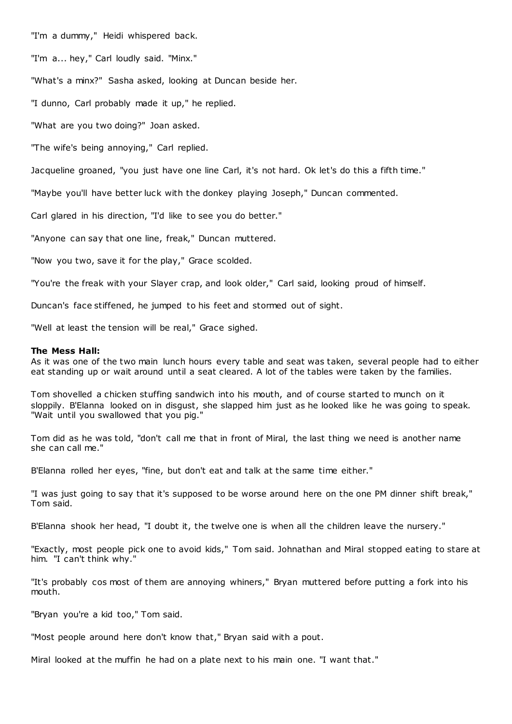"I'm a dummy," Heidi whispered back.

"I'm a... hey," Carl loudly said. "Minx."

"What's a minx?" Sasha asked, looking at Duncan beside her.

"I dunno, Carl probably made it up," he replied.

"What are you two doing?" Joan asked.

"The wife's being annoying," Carl replied.

Jacqueline groaned, "you just have one line Carl, it's not hard. Ok let's do this a fifth time."

"Maybe you'll have better luck with the donkey playing Joseph," Duncan commented.

Carl glared in his direction, "I'd like to see you do better."

"Anyone can say that one line, freak," Duncan muttered.

"Now you two, save it for the play," Grace scolded.

"You're the freak with your Slayer crap, and look older," Carl said, looking proud of himself.

Duncan's face stiffened, he jumped to his feet and stormed out of sight.

"Well at least the tension will be real," Grace sighed.

#### **The Mess Hall:**

As it was one of the two main lunch hours every table and seat was taken, several people had to either eat standing up or wait around until a seat cleared. A lot of the tables were taken by the families.

Tom shovelled a chicken stuffing sandwich into his mouth, and of course started to munch on it sloppily. B'Elanna looked on in disgust, she slapped him just as he looked like he was going to speak. "Wait until you swallowed that you pig."

Tom did as he was told, "don't call me that in front of Miral, the last thing we need is another name she can call me."

B'Elanna rolled her eyes, "fine, but don't eat and talk at the same time either."

"I was just going to say that it's supposed to be worse around here on the one PM dinner shift break," Tom said.

B'Elanna shook her head, "I doubt it, the twelve one is when all the children leave the nursery."

"Exactly, most people pick one to avoid kids," Tom said. Johnathan and Miral stopped eating to stare at him. "I can't think why."

"It's probably cos most of them are annoying whiners," Bryan muttered before putting a fork into his mouth.

"Bryan you're a kid too," Tom said.

"Most people around here don't know that," Bryan said with a pout.

Miral looked at the muffin he had on a plate next to his main one. "I want that."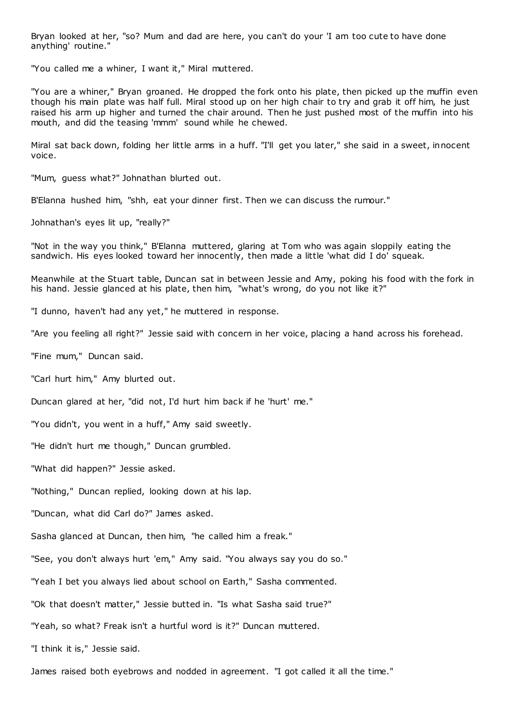Bryan looked at her, "so? Mum and dad are here, you can't do your 'I am too cute to have done anything' routine."

"You called me a whiner, I want it," Miral muttered.

"You are a whiner," Bryan groaned. He dropped the fork onto his plate, then picked up the muffin even though his main plate was half full. Miral stood up on her high chair to try and grab it off him, he just raised his arm up higher and turned the chair around. Then he just pushed most of the muffin into his mouth, and did the teasing 'mmm' sound while he chewed.

Miral sat back down, folding her little arms in a huff. "I'll get you later," she said in a sweet, innocent voice.

"Mum, guess what?" Johnathan blurted out.

B'Elanna hushed him, "shh, eat your dinner first. Then we can discuss the rumour."

Johnathan's eyes lit up, "really?"

"Not in the way you think," B'Elanna muttered, glaring at Tom who was again sloppily eating the sandwich. His eyes looked toward her innocently, then made a little 'what did I do' squeak.

Meanwhile at the Stuart table, Duncan sat in between Jessie and Amy, poking his food with the fork in his hand. Jessie glanced at his plate, then him, "what's wrong, do you not like it?"

"I dunno, haven't had any yet," he muttered in response.

"Are you feeling all right?" Jessie said with concern in her voice, placing a hand across his forehead.

"Fine mum," Duncan said.

"Carl hurt him," Amy blurted out.

Duncan glared at her, "did not, I'd hurt him back if he 'hurt' me."

"You didn't, you went in a huff," Amy said sweetly.

"He didn't hurt me though," Duncan grumbled.

"What did happen?" Jessie asked.

"Nothing," Duncan replied, looking down at his lap.

"Duncan, what did Carl do?" James asked.

Sasha glanced at Duncan, then him, "he called him a freak."

"See, you don't always hurt 'em," Amy said. "You always say you do so."

"Yeah I bet you always lied about school on Earth," Sasha commented.

"Ok that doesn't matter," Jessie butted in. "Is what Sasha said true?"

"Yeah, so what? Freak isn't a hurtful word is it?" Duncan muttered.

"I think it is," Jessie said.

James raised both eyebrows and nodded in agreement. "I got called it all the time."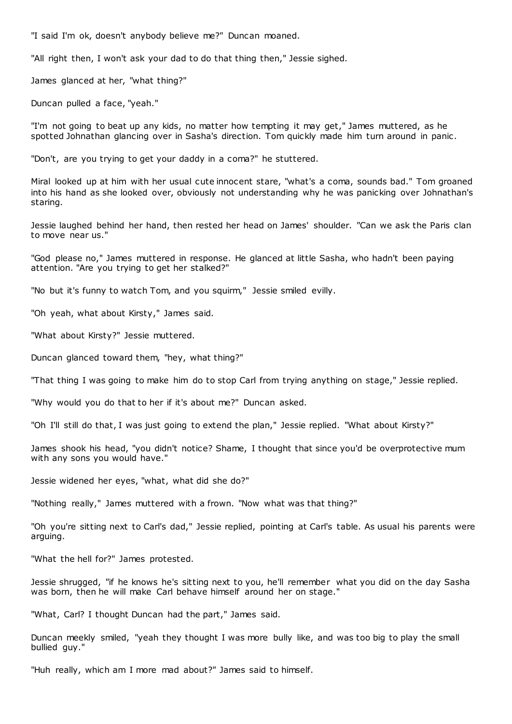"I said I'm ok, doesn't anybody believe me?" Duncan moaned.

"All right then, I won't ask your dad to do that thing then," Jessie sighed.

James glanced at her, "what thing?"

Duncan pulled a face, "yeah."

"I'm not going to beat up any kids, no matter how tempting it may get," James muttered, as he spotted Johnathan glancing over in Sasha's direction. Tom quickly made him turn around in panic.

"Don't, are you trying to get your daddy in a coma?" he stuttered.

Miral looked up at him with her usual cute innocent stare, "what's a coma, sounds bad." Tom groaned into his hand as she looked over, obviously not understanding why he was panicking over Johnathan's staring.

Jessie laughed behind her hand, then rested her head on James' shoulder. "Can we ask the Paris clan to move near us."

"God please no," James muttered in response. He glanced at little Sasha, who hadn't been paying attention. "Are you trying to get her stalked?"

"No but it's funny to watch Tom, and you squirm," Jessie smiled evilly.

"Oh yeah, what about Kirsty," James said.

"What about Kirsty?" Jessie muttered.

Duncan glanced toward them, "hey, what thing?"

"That thing I was going to make him do to stop Carl from trying anything on stage," Jessie replied.

"Why would you do that to her if it's about me?" Duncan asked.

"Oh I'll still do that, I was just going to extend the plan," Jessie replied. "What about Kirsty?"

James shook his head, "you didn't notice? Shame, I thought that since you'd be overprotective mum with any sons you would have."

Jessie widened her eyes, "what, what did she do?"

"Nothing really," James muttered with a frown. "Now what was that thing?"

"Oh you're sitting next to Carl's dad," Jessie replied, pointing at Carl's table. As usual his parents were arguing.

"What the hell for?" James protested.

Jessie shrugged, "if he knows he's sitting next to you, he'll remember what you did on the day Sasha was born, then he will make Carl behave himself around her on stage."

"What, Carl? I thought Duncan had the part," James said.

Duncan meekly smiled, "yeah they thought I was more bully like, and was too big to play the small bullied guy."

"Huh really, which am I more mad about?" James said to himself.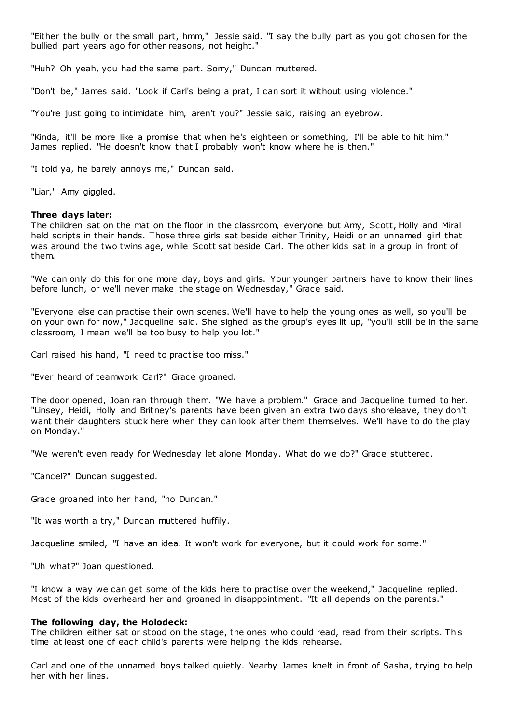"Either the bully or the small part, hmm," Jessie said. "I say the bully part as you got chosen for the bullied part years ago for other reasons, not height."

"Huh? Oh yeah, you had the same part. Sorry," Duncan muttered.

"Don't be," James said. "Look if Carl's being a prat, I can sort it without using violence."

"You're just going to intimidate him, aren't you?" Jessie said, raising an eyebrow.

"Kinda, it'll be more like a promise that when he's eighteen or something, I'll be able to hit him," James replied. "He doesn't know that I probably won't know where he is then."

"I told ya, he barely annoys me," Duncan said.

"Liar," Amy giggled.

### **Three days later:**

The children sat on the mat on the floor in the classroom, everyone but Amy, Scott, Holly and Miral held scripts in their hands. Those three girls sat beside either Trinity, Heidi or an unnamed girl that was around the two twins age, while Scott sat beside Carl. The other kids sat in a group in front of them.

"We can only do this for one more day, boys and girls. Your younger partners have to know their lines before lunch, or we'll never make the stage on Wednesday," Grace said.

"Everyone else can practise their own scenes. We'll have to help the young ones as well, so you'll be on your own for now," Jacqueline said. She sighed as the group's eyes lit up, "you'll still be in the same classroom, I mean we'll be too busy to help you lot."

Carl raised his hand, "I need to practise too miss."

"Ever heard of teamwork Carl?" Grace groaned.

The door opened, Joan ran through them. "We have a problem." Grace and Jacqueline turned to her. "Linsey, Heidi, Holly and Britney's parents have been given an extra two days shoreleave, they don't want their daughters stuck here when they can look after them themselves. We'll have to do the play on Monday."

"We weren't even ready for Wednesday let alone Monday. What do we do?" Grace stuttered.

"Cancel?" Duncan suggested.

Grace groaned into her hand, "no Duncan."

"It was worth a try," Duncan muttered huffily.

Jacqueline smiled, "I have an idea. It won't work for everyone, but it could work for some."

"Uh what?" Joan questioned.

"I know a way we can get some of the kids here to practise over the weekend," Jacqueline replied. Most of the kids overheard her and groaned in disappointment. "It all depends on the parents."

### **The following day, the Holodeck:**

The children either sat or stood on the stage, the ones who could read, read from their scripts. This time at least one of each child's parents were helping the kids rehearse.

Carl and one of the unnamed boys talked quietly. Nearby James knelt in front of Sasha, trying to help her with her lines.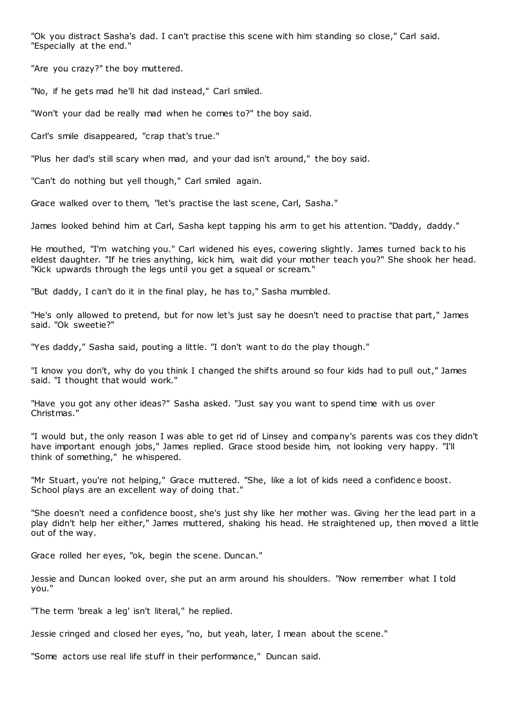"Ok you distract Sasha's dad. I can't practise this scene with him standing so close," Carl said. "Especially at the end."

"Are you crazy?" the boy muttered.

"No, if he gets mad he'll hit dad instead," Carl smiled.

"Won't your dad be really mad when he comes to?" the boy said.

Carl's smile disappeared, "crap that's true."

"Plus her dad's still scary when mad, and your dad isn't around," the boy said.

"Can't do nothing but yell though," Carl smiled again.

Grace walked over to them, "let's practise the last scene, Carl, Sasha."

James looked behind him at Carl, Sasha kept tapping his arm to get his attention. "Daddy, daddy."

He mouthed, "I'm watching you." Carl widened his eyes, cowering slightly. James turned back to his eldest daughter. "If he tries anything, kick him, wait did your mother teach you?" She shook her head. "Kick upwards through the legs until you get a squeal or scream."

"But daddy, I can't do it in the final play, he has to," Sasha mumbled.

"He's only allowed to pretend, but for now let's just say he doesn't need to practise that part," James said. "Ok sweetie?"

"Yes daddy," Sasha said, pouting a little. "I don't want to do the play though."

"I know you don't, why do you think I changed the shifts around so four kids had to pull out," James said. "I thought that would work."

"Have you got any other ideas?" Sasha asked. "Just say you want to spend time with us over Christmas."

"I would but, the only reason I was able to get rid of Linsey and company's parents was cos they didn't have important enough jobs," James replied. Grace stood beside him, not looking very happy. "I'll think of something," he whispered.

"Mr Stuart, you're not helping," Grace muttered. "She, like a lot of kids need a confidenc e boost. School plays are an excellent way of doing that."

"She doesn't need a confidence boost, she's just shy like her mother was. Giving her the lead part in a play didn't help her either," James muttered, shaking his head. He straightened up, then moved a little out of the way.

Grace rolled her eyes, "ok, begin the scene. Duncan."

Jessie and Duncan looked over, she put an arm around his shoulders. "Now remember what I told you."

"The term 'break a leg' isn't literal," he replied.

Jessie cringed and closed her eyes, "no, but yeah, later, I mean about the scene."

"Some actors use real life stuff in their performance," Duncan said.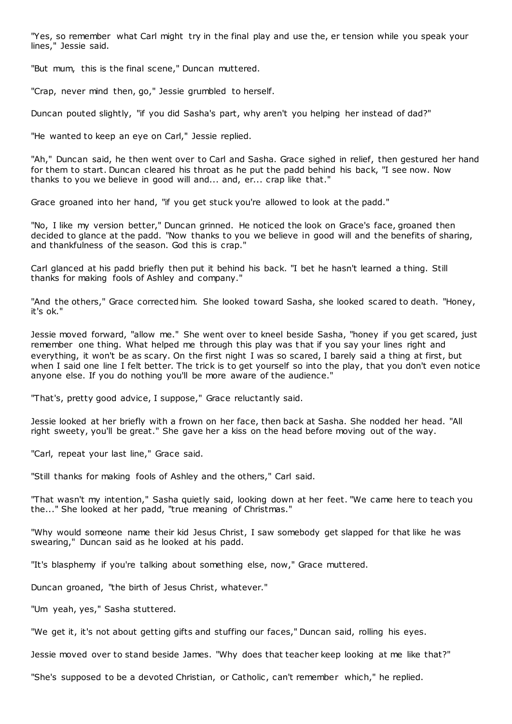"Yes, so remember what Carl might try in the final play and use the, er tension while you speak your lines," Jessie said.

"But mum, this is the final scene," Duncan muttered.

"Crap, never mind then, go," Jessie grumbled to herself.

Duncan pouted slightly, "if you did Sasha's part, why aren't you helping her instead of dad?"

"He wanted to keep an eye on Carl," Jessie replied.

"Ah," Duncan said, he then went over to Carl and Sasha. Grace sighed in relief, then gestured her hand for them to start. Duncan cleared his throat as he put the padd behind his back, "I see now. Now thanks to you we believe in good will and... and, er... crap like that."

Grace groaned into her hand, "if you get stuck you're allowed to look at the padd."

"No, I like my version better," Duncan grinned. He noticed the look on Grace's face, groaned then decided to glance at the padd. "Now thanks to you we believe in good will and the benefits of sharing, and thankfulness of the season. God this is crap."

Carl glanced at his padd briefly then put it behind his back. "I bet he hasn't learned a thing. Still thanks for making fools of Ashley and company."

"And the others," Grace corrected him. She looked toward Sasha, she looked scared to death. "Honey, it's ok."

Jessie moved forward, "allow me." She went over to kneel beside Sasha, "honey if you get scared, just remember one thing. What helped me through this play was that if you say your lines right and everything, it won't be as scary. On the first night I was so scared, I barely said a thing at first, but when I said one line I felt better. The trick is to get yourself so into the play, that you don't even notice anyone else. If you do nothing you'll be more aware of the audience."

"That's, pretty good advice, I suppose," Grace reluctantly said.

Jessie looked at her briefly with a frown on her face, then back at Sasha. She nodded her head. "All right sweety, you'll be great." She gave her a kiss on the head before moving out of the way.

"Carl, repeat your last line," Grace said.

"Still thanks for making fools of Ashley and the others," Carl said.

"That wasn't my intention," Sasha quietly said, looking down at her feet. "We came here to teach you the..." She looked at her padd, "true meaning of Christmas."

"Why would someone name their kid Jesus Christ, I saw somebody get slapped for that like he was swearing," Duncan said as he looked at his padd.

"It's blasphemy if you're talking about something else, now," Grace muttered.

Duncan groaned, "the birth of Jesus Christ, whatever."

"Um yeah, yes," Sasha stuttered.

"We get it, it's not about getting gifts and stuffing our faces," Duncan said, rolling his eyes.

Jessie moved over to stand beside James. "Why does that teacher keep looking at me like that?"

"She's supposed to be a devoted Christian, or Catholic, can't remember which," he replied.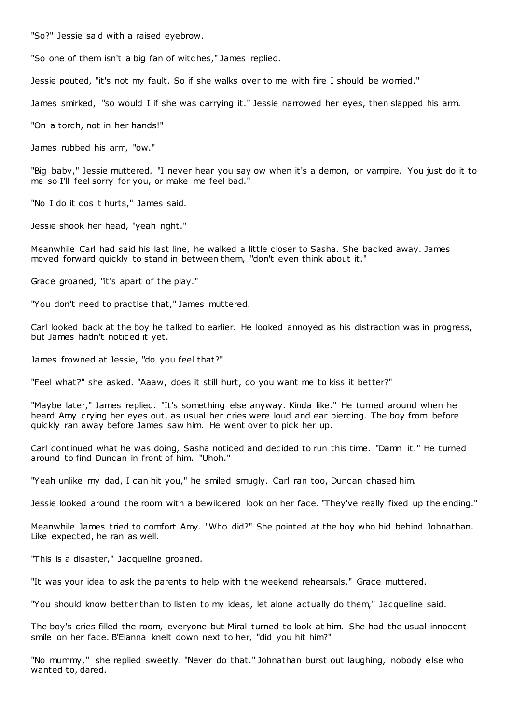"So?" Jessie said with a raised eyebrow.

"So one of them isn't a big fan of witches," James replied.

Jessie pouted, "it's not my fault. So if she walks over to me with fire I should be worried."

James smirked, "so would I if she was carrying it." Jessie narrowed her eyes, then slapped his arm.

"On a torch, not in her hands!"

James rubbed his arm, "ow."

"Big baby," Jessie muttered. "I never hear you say ow when it's a demon, or vampire. You just do it to me so I'll feel sorry for you, or make me feel bad."

"No I do it cos it hurts," James said.

Jessie shook her head, "yeah right."

Meanwhile Carl had said his last line, he walked a little closer to Sasha. She backed away. James moved forward quickly to stand in between them, "don't even think about it."

Grace groaned, "it's apart of the play."

"You don't need to practise that," James muttered.

Carl looked back at the boy he talked to earlier. He looked annoyed as his distraction was in progress, but James hadn't noticed it yet.

James frowned at Jessie, "do you feel that?"

"Feel what?" she asked. "Aaaw, does it still hurt, do you want me to kiss it better?"

"Maybe later," James replied. "It's something else anyway. Kinda like." He turned around when he heard Amy crying her eyes out, as usual her cries were loud and ear piercing. The boy from before quickly ran away before James saw him. He went over to pick her up.

Carl continued what he was doing, Sasha noticed and decided to run this time. "Damn it." He turned around to find Duncan in front of him. "Uhoh."

"Yeah unlike my dad, I can hit you," he smiled smugly. Carl ran too, Duncan chased him.

Jessie looked around the room with a bewildered look on her face. "They've really fixed up the ending."

Meanwhile James tried to comfort Amy. "Who did?" She pointed at the boy who hid behind Johnathan. Like expected, he ran as well.

"This is a disaster," Jacqueline groaned.

"It was your idea to ask the parents to help with the weekend rehearsals," Grace muttered.

"You should know better than to listen to my ideas, let alone actually do them," Jacqueline said.

The boy's cries filled the room, everyone but Miral turned to look at him. She had the usual innocent smile on her face. B'Elanna knelt down next to her, "did you hit him?"

"No mummy," she replied sweetly. "Never do that." Johnathan burst out laughing, nobody else who wanted to, dared.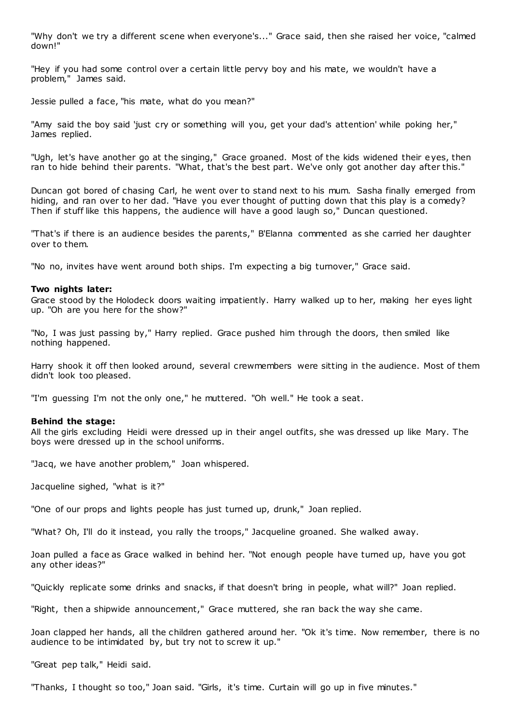"Why don't we try a different scene when everyone's..." Grace said, then she raised her voice, "calmed down!"

"Hey if you had some control over a certain little pervy boy and his mate, we wouldn't have a problem," James said.

Jessie pulled a face, "his mate, what do you mean?"

"Amy said the boy said 'just cry or something will you, get your dad's attention' while poking her," James replied.

"Ugh, let's have another go at the singing," Grace groaned. Most of the kids widened their eyes, then ran to hide behind their parents. "What, that's the best part. We've only got another day after this."

Duncan got bored of chasing Carl, he went over to stand next to his mum. Sasha finally emerged from hiding, and ran over to her dad. "Have you ever thought of putting down that this play is a comedy? Then if stuff like this happens, the audience will have a good laugh so," Duncan questioned.

"That's if there is an audience besides the parents," B'Elanna commented as she carried her daughter over to them.

"No no, invites have went around both ships. I'm expecting a big turnover," Grace said.

### **Two nights later:**

Grace stood by the Holodeck doors waiting impatiently. Harry walked up to her, making her eyes light up. "Oh are you here for the show?"

"No, I was just passing by," Harry replied. Grace pushed him through the doors, then smiled like nothing happened.

Harry shook it off then looked around, several crewmembers were sitting in the audience. Most of them didn't look too pleased.

"I'm guessing I'm not the only one," he muttered. "Oh well." He took a seat.

### **Behind the stage:**

All the girls excluding Heidi were dressed up in their angel outfits, she was dressed up like Mary. The boys were dressed up in the school uniforms.

"Jacq, we have another problem," Joan whispered.

Jacqueline sighed, "what is it?"

"One of our props and lights people has just turned up, drunk," Joan replied.

"What? Oh, I'll do it instead, you rally the troops," Jacqueline groaned. She walked away.

Joan pulled a face as Grace walked in behind her. "Not enough people have turned up, have you got any other ideas?"

"Quickly replicate some drinks and snacks, if that doesn't bring in people, what will?" Joan replied.

"Right, then a shipwide announcement," Grace muttered, she ran back the way she came.

Joan clapped her hands, all the children gathered around her. "Ok it's time. Now remember, there is no audience to be intimidated by, but try not to screw it up."

"Great pep talk," Heidi said.

"Thanks, I thought so too," Joan said. "Girls, it's time. Curtain will go up in five minutes."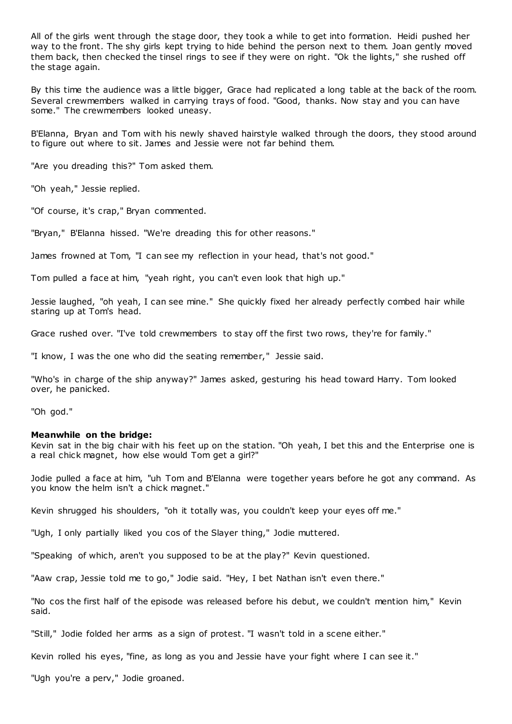All of the girls went through the stage door, they took a while to get into formation. Heidi pushed her way to the front. The shy girls kept trying to hide behind the person next to them. Joan gently moved them back, then checked the tinsel rings to see if they were on right. "Ok the lights," she rushed off the stage again.

By this time the audience was a little bigger, Grace had replicated a long table at the back of the room. Several crewmembers walked in carrying trays of food. "Good, thanks. Now stay and you can have some." The crewmembers looked uneasy.

B'Elanna, Bryan and Tom with his newly shaved hairstyle walked through the doors, they stood around to figure out where to sit. James and Jessie were not far behind them.

"Are you dreading this?" Tom asked them.

"Oh yeah," Jessie replied.

"Of course, it's crap," Bryan commented.

"Bryan," B'Elanna hissed. "We're dreading this for other reasons."

James frowned at Tom, "I can see my reflection in your head, that's not good."

Tom pulled a face at him, "yeah right, you can't even look that high up."

Jessie laughed, "oh yeah, I can see mine." She quickly fixed her already perfectly combed hair while staring up at Tom's head.

Grace rushed over. "I've told crewmembers to stay off the first two rows, they're for family."

"I know, I was the one who did the seating remember," Jessie said.

"Who's in charge of the ship anyway?" James asked, gesturing his head toward Harry. Tom looked over, he panicked.

"Oh god."

#### **Meanwhile on the bridge:**

Kevin sat in the big chair with his feet up on the station. "Oh yeah, I bet this and the Enterprise one is a real chick magnet, how else would Tom get a girl?"

Jodie pulled a face at him, "uh Tom and B'Elanna were together years before he got any command. As you know the helm isn't a chick magnet."

Kevin shrugged his shoulders, "oh it totally was, you couldn't keep your eyes off me."

"Ugh, I only partially liked you cos of the Slayer thing," Jodie muttered.

"Speaking of which, aren't you supposed to be at the play?" Kevin questioned.

"Aaw crap, Jessie told me to go," Jodie said. "Hey, I bet Nathan isn't even there."

"No cos the first half of the episode was released before his debut, we couldn't mention him," Kevin said.

"Still," Jodie folded her arms as a sign of protest. "I wasn't told in a scene either."

Kevin rolled his eyes, "fine, as long as you and Jessie have your fight where I can see it."

"Ugh you're a perv," Jodie groaned.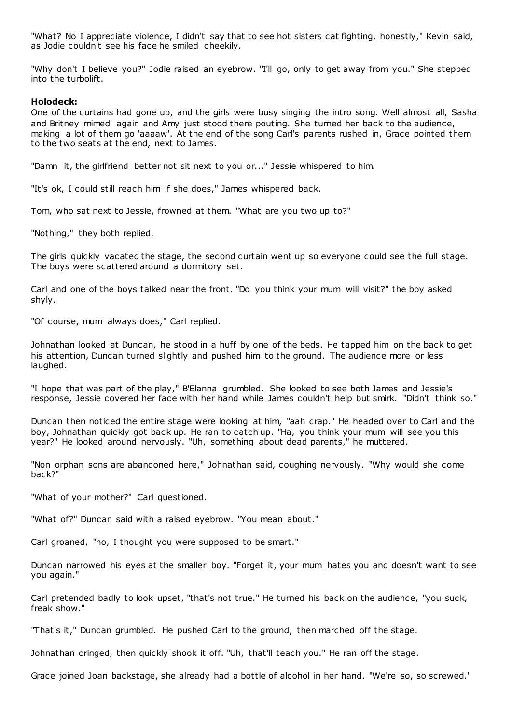"What? No I appreciate violence, I didn't say that to see hot sisters cat fighting, honestly," Kevin said, as Jodie couldn't see his face he smiled cheekily.

"Why don't I believe you?" Jodie raised an eyebrow. "I'll go, only to get away from you." She stepped into the turbolift.

### **Holodeck:**

One of the curtains had gone up, and the girls were busy singing the intro song. Well almost all, Sasha and Britney mimed again and Amy just stood there pouting. She turned her back to the audience, making a lot of them go 'aaaaw'. At the end of the song Carl's parents rushed in, Grace pointed them to the two seats at the end, next to James.

"Damn it, the girlfriend better not sit next to you or..." Jessie whispered to him.

"It's ok, I could still reach him if she does," James whispered back.

Tom, who sat next to Jessie, frowned at them. "What are you two up to?"

"Nothing," they both replied.

The girls quickly vacated the stage, the second curtain went up so everyone could see the full stage. The boys were scattered around a dormitory set.

Carl and one of the boys talked near the front. "Do you think your mum will visit?" the boy asked shyly.

"Of course, mum always does," Carl replied.

Johnathan looked at Duncan, he stood in a huff by one of the beds. He tapped him on the back to get his attention, Duncan turned slightly and pushed him to the ground. The audience more or less laughed.

"I hope that was part of the play," B'Elanna grumbled. She looked to see both James and Jessie's response, Jessie covered her face with her hand while James couldn't help but smirk. "Didn't think so."

Duncan then noticed the entire stage were looking at him, "aah crap." He headed over to Carl and the boy, Johnathan quickly got back up. He ran to catch up. "Ha, you think your mum will see you this year?" He looked around nervously. "Uh, something about dead parents," he muttered.

"Non orphan sons are abandoned here," Johnathan said, coughing nervously. "Why would she come back?"

"What of your mother?" Carl questioned.

"What of?" Duncan said with a raised eyebrow. "You mean about."

Carl groaned, "no, I thought you were supposed to be smart."

Duncan narrowed his eyes at the smaller boy. "Forget it, your mum hates you and doesn't want to see you again."

Carl pretended badly to look upset, "that's not true." He turned his back on the audience, "you suck, freak show."

"That's it," Duncan grumbled. He pushed Carl to the ground, then marched off the stage.

Johnathan cringed, then quickly shook it off. "Uh, that'll teach you." He ran off the stage.

Grace joined Joan backstage, she already had a bottle of alcohol in her hand. "We're so, so screwed."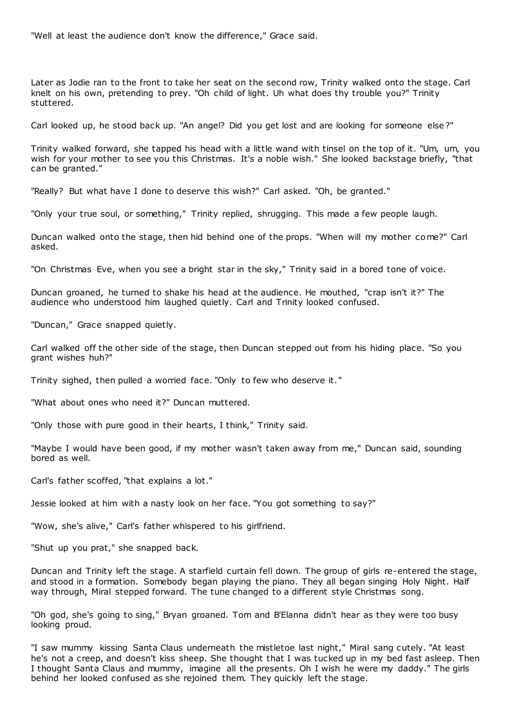"Well at least the audience don't know the difference," Grace said.

Later as Jodie ran to the front to take her seat on the second row, Trinity walked onto the stage. Carl knelt on his own, pretending to prey. "Oh child of light. Uh what does thy trouble you?" Trinity stuttered.

Carl looked up, he stood back up. "An angel? Did you get lost and are looking for someone else?"

Trinity walked forward, she tapped his head with a little wand with tinsel on the top of it. "Um, um, you wish for your mother to see you this Christmas. It's a noble wish." She looked backstage briefly, "that can be granted."

"Really? But what have I done to deserve this wish?" Carl asked. "Oh, be granted."

"Only your true soul, or something," Trinity replied, shrugging. This made a few people laugh.

Duncan walked onto the stage, then hid behind one of the props. "When will my mother come?" Carl asked.

"On Christmas Eve, when you see a bright star in the sky," Trinity said in a bored tone of voice.

Duncan groaned, he turned to shake his head at the audience. He mouthed, "crap isn't it?" The audience who understood him laughed quietly. Carl and Trinity looked confused.

"Duncan," Grace snapped quietly.

Carl walked off the other side of the stage, then Duncan stepped out from his hiding place. "So you grant wishes huh?"

Trinity sighed, then pulled a worried face. "Only to few who deserve it."

"What about ones who need it?" Duncan muttered.

"Only those with pure good in their hearts, I think," Trinity said.

"Maybe I would have been good, if my mother wasn't taken away from me," Duncan said, sounding bored as well.

Carl's father scoffed, "that explains a lot."

Jessie looked at him with a nasty look on her face. "You got something to say?"

"Wow, she's alive," Carl's father whispered to his girlfriend.

"Shut up you prat," she snapped back.

Duncan and Trinity left the stage. A starfield curtain fell down. The group of girls re-entered the stage, and stood in a formation. Somebody began playing the piano. They all began singing Holy Night. Half way through, Miral stepped forward. The tune changed to a different style Christmas song.

"Oh god, she's going to sing," Bryan groaned. Tom and B'Elanna didn't hear as they were too busy looking proud.

"I saw mummy kissing Santa Claus underneath the mistletoe last night," Miral sang cutely. "At least he's not a creep, and doesn't kiss sheep. She thought that I was tucked up in my bed fast asleep. Then I thought Santa Claus and mummy, imagine all the presents. Oh I wish he were my daddy." The girls behind her looked confused as she rejoined them. They quickly left the stage.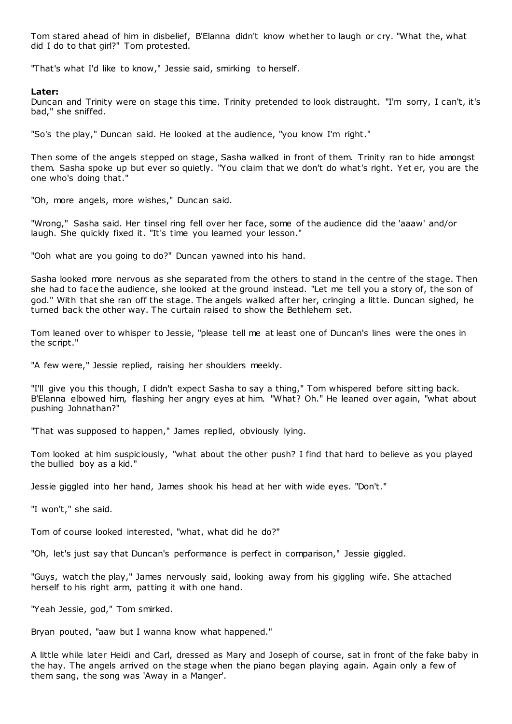Tom stared ahead of him in disbelief, B'Elanna didn't know whether to laugh or cry. "What the, what did I do to that girl?" Tom protested.

"That's what I'd like to know," Jessie said, smirking to herself.

## **Later:**

Duncan and Trinity were on stage this time. Trinity pretended to look distraught. "I'm sorry, I can't, it's bad," she sniffed.

"So's the play," Duncan said. He looked at the audience, "you know I'm right."

Then some of the angels stepped on stage, Sasha walked in front of them. Trinity ran to hide amongst them. Sasha spoke up but ever so quietly. "You claim that we don't do what's right. Yet er, you are the one who's doing that."

"Oh, more angels, more wishes," Duncan said.

"Wrong," Sasha said. Her tinsel ring fell over her face, some of the audience did the 'aaaw' and/or laugh. She quickly fixed it. "It's time you learned your lesson."

"Ooh what are you going to do?" Duncan yawned into his hand.

Sasha looked more nervous as she separated from the others to stand in the centre of the stage. Then she had to face the audience, she looked at the ground instead. "Let me tell you a story of, the son of god." With that she ran off the stage. The angels walked after her, cringing a little. Duncan sighed, he turned back the other way. The curtain raised to show the Bethlehem set.

Tom leaned over to whisper to Jessie, "please tell me at least one of Duncan's lines were the ones in the script."

"A few were," Jessie replied, raising her shoulders meekly.

"I'll give you this though, I didn't expect Sasha to say a thing," Tom whispered before sitting back. B'Elanna elbowed him, flashing her angry eyes at him. "What? Oh." He leaned over again, "what about pushing Johnathan?"

"That was supposed to happen," James replied, obviously lying.

Tom looked at him suspiciously, "what about the other push? I find that hard to believe as you played the bullied boy as a kid."

Jessie giggled into her hand, James shook his head at her with wide eyes. "Don't."

"I won't," she said.

Tom of course looked interested, "what, what did he do?"

"Oh, let's just say that Duncan's performance is perfect in comparison," Jessie giggled.

"Guys, watch the play," James nervously said, looking away from his giggling wife. She attached herself to his right arm, patting it with one hand.

"Yeah Jessie, god," Tom smirked.

Bryan pouted, "aaw but I wanna know what happened."

A little while later Heidi and Carl, dressed as Mary and Joseph of course, sat in front of the fake baby in the hay. The angels arrived on the stage when the piano began playing again. Again only a few of them sang, the song was 'Away in a Manger'.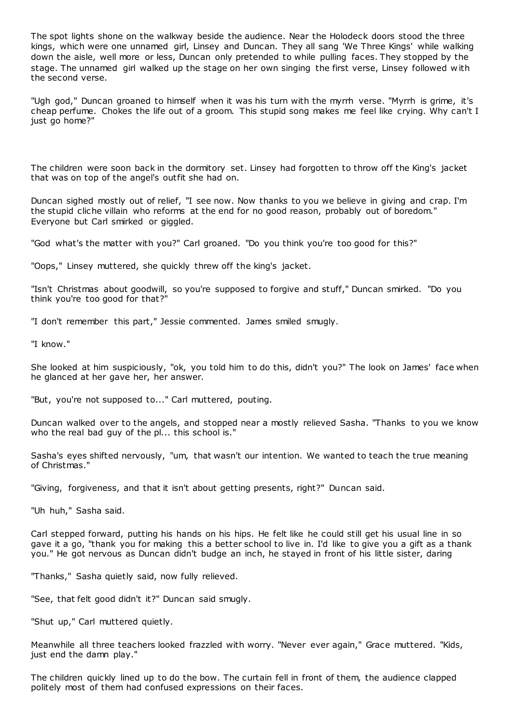The spot lights shone on the walkway beside the audience. Near the Holodeck doors stood the three kings, which were one unnamed girl, Linsey and Duncan. They all sang 'We Three Kings' while walking down the aisle, well more or less, Duncan only pretended to while pulling faces. They stopped by the stage. The unnamed girl walked up the stage on her own singing the first verse, Linsey followed w ith the second verse.

"Ugh god," Duncan groaned to himself when it was his turn with the myrrh verse. "Myrrh is grime, it's cheap perfume. Chokes the life out of a groom. This stupid song makes me feel like crying. Why can't I just go home?"

The children were soon back in the dormitory set. Linsey had forgotten to throw off the King's jacket that was on top of the angel's outfit she had on.

Duncan sighed mostly out of relief, "I see now. Now thanks to you we believe in giving and crap. I'm the stupid cliche villain who reforms at the end for no good reason, probably out of boredom." Everyone but Carl smirked or giggled.

"God what's the matter with you?" Carl groaned. "Do you think you're too good for this?"

"Oops," Linsey muttered, she quickly threw off the king's jacket.

"Isn't Christmas about goodwill, so you're supposed to forgive and stuff," Duncan smirked. "Do you think you're too good for that?"

"I don't remember this part," Jessie commented. James smiled smugly.

"I know."

She looked at him suspiciously, "ok, you told him to do this, didn't you?" The look on James' face when he glanced at her gave her, her answer.

"But, you're not supposed to..." Carl muttered, pouting.

Duncan walked over to the angels, and stopped near a mostly relieved Sasha. "Thanks to you we know who the real bad guy of the pl... this school is."

Sasha's eyes shifted nervously, "um, that wasn't our intention. We wanted to teach the true meaning of Christmas."

"Giving, forgiveness, and that it isn't about getting presents, right?" Duncan said.

"Uh huh," Sasha said.

Carl stepped forward, putting his hands on his hips. He felt like he could still get his usual line in so gave it a go, "thank you for making this a better school to live in. I'd like to give you a gift as a thank you." He got nervous as Duncan didn't budge an inch, he stayed in front of his little sister, daring

"Thanks," Sasha quietly said, now fully relieved.

"See, that felt good didn't it?" Duncan said smugly.

"Shut up," Carl muttered quietly.

Meanwhile all three teachers looked frazzled with worry. "Never ever again," Grace muttered. "Kids, just end the damn play."

The children quickly lined up to do the bow. The curtain fell in front of them, the audience clapped politely most of them had confused expressions on their faces.